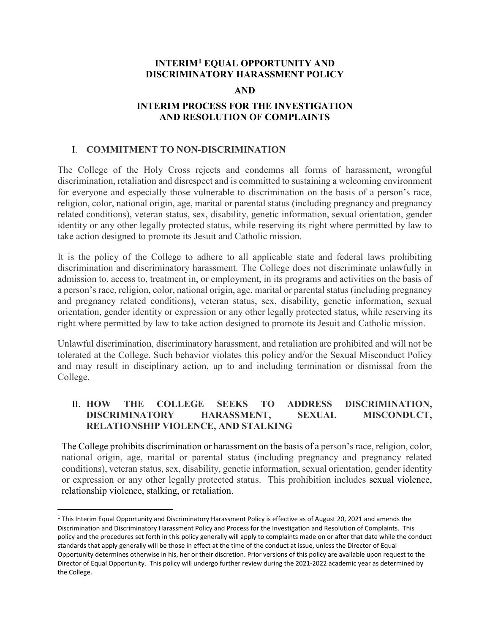## **INTERIM[1](#page-0-0) EQUAL OPPORTUNITY AND DISCRIMINATORY HARASSMENT POLICY**

### **AND**

## **INTERIM PROCESS FOR THE INVESTIGATION AND RESOLUTION OF COMPLAINTS**

## I. **COMMITMENT TO NON-DISCRIMINATION**

The College of the Holy Cross rejects and condemns all forms of harassment, wrongful discrimination, retaliation and disrespect and is committed to sustaining a welcoming environment for everyone and especially those vulnerable to discrimination on the basis of a person's race, religion, color, national origin, age, marital or parental status (including pregnancy and pregnancy related conditions), veteran status, sex, disability, genetic information, sexual orientation, gender identity or any other legally protected status, while reserving its right where permitted by law to take action designed to promote its Jesuit and Catholic mission.

It is the policy of the College to adhere to all applicable state and federal laws prohibiting discrimination and discriminatory harassment. The College does not discriminate unlawfully in admission to, access to, treatment in, or employment, in its programs and activities on the basis of a person's race, religion, color, national origin, age, marital or parental status (including pregnancy and pregnancy related conditions), veteran status, sex, disability, genetic information, sexual orientation, gender identity or expression or any other legally protected status, while reserving its right where permitted by law to take action designed to promote its Jesuit and Catholic mission.

Unlawful discrimination, discriminatory harassment, and retaliation are prohibited and will not be tolerated at the College. Such behavior violates this policy and/or the Sexual Misconduct Policy and may result in disciplinary action, up to and including termination or dismissal from the College.

## II. **HOW THE COLLEGE SEEKS TO ADDRESS DISCRIMINATION, DISCRIMINATORY HARASSMENT, SEXUAL MISCONDUCT, RELATIONSHIP VIOLENCE, AND STALKING**

The College prohibits discrimination or harassment on the basis of a person's race, religion, color, national origin, age, marital or parental status (including pregnancy and pregnancy related conditions), veteran status, sex, disability, genetic information, sexual orientation, gender identity or expression or any other legally protected status. This prohibition includes sexual violence, relationship violence, stalking, or retaliation.

<span id="page-0-0"></span> $1$  This Interim Equal Opportunity and Discriminatory Harassment Policy is effective as of August 20, 2021 and amends the Discrimination and Discriminatory Harassment Policy and Process for the Investigation and Resolution of Complaints. This policy and the procedures set forth in this policy generally will apply to complaints made on or after that date while the conduct standards that apply generally will be those in effect at the time of the conduct at issue, unless the Director of Equal Opportunity determines otherwise in his, her or their discretion. Prior versions of this policy are available upon request to the Director of Equal Opportunity. This policy will undergo further review during the 2021-2022 academic year as determined by the College.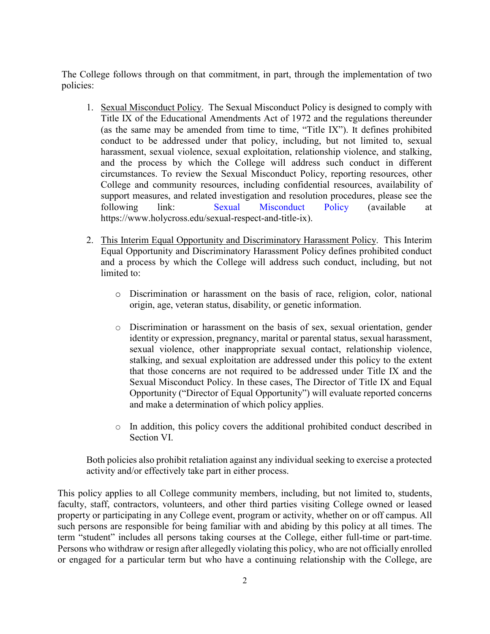The College follows through on that commitment, in part, through the implementation of two policies:

- 1. Sexual Misconduct Policy. The Sexual Misconduct Policy is designed to comply with Title IX of the Educational Amendments Act of 1972 and the regulations thereunder (as the same may be amended from time to time, "Title IX"). It defines prohibited conduct to be addressed under that policy, including, but not limited to, sexual harassment, sexual violence, sexual exploitation, relationship violence, and stalking, and the process by which the College will address such conduct in different circumstances. To review the Sexual Misconduct Policy, reporting resources, other College and community resources, including confidential resources, availability of support measures, and related investigation and resolution procedures, please see the following link: [Sexual Misconduct Policy](https://www.holycross.edu/sexual-respect-and-title-ix) (available at https://www.holycross.edu/sexual-respect-and-title-ix).
- 2. This Interim Equal Opportunity and Discriminatory Harassment Policy. This Interim Equal Opportunity and Discriminatory Harassment Policy defines prohibited conduct and a process by which the College will address such conduct, including, but not limited to:
	- o Discrimination or harassment on the basis of race, religion, color, national origin, age, veteran status, disability, or genetic information.
	- o Discrimination or harassment on the basis of sex, sexual orientation, gender identity or expression, pregnancy, marital or parental status, sexual harassment, sexual violence, other inappropriate sexual contact, relationship violence, stalking, and sexual exploitation are addressed under this policy to the extent that those concerns are not required to be addressed under Title IX and the Sexual Misconduct Policy. In these cases, The Director of Title IX and Equal Opportunity ("Director of Equal Opportunity") will evaluate reported concerns and make a determination of which policy applies.
	- o In addition, this policy covers the additional prohibited conduct described in Section VI.

Both policies also prohibit retaliation against any individual seeking to exercise a protected activity and/or effectively take part in either process.

This policy applies to all College community members, including, but not limited to, students, faculty, staff, contractors, volunteers, and other third parties visiting College owned or leased property or participating in any College event, program or activity, whether on or off campus. All such persons are responsible for being familiar with and abiding by this policy at all times. The term "student" includes all persons taking courses at the College, either full-time or part-time. Persons who withdraw or resign after allegedly violating this policy, who are not officially enrolled or engaged for a particular term but who have a continuing relationship with the College, are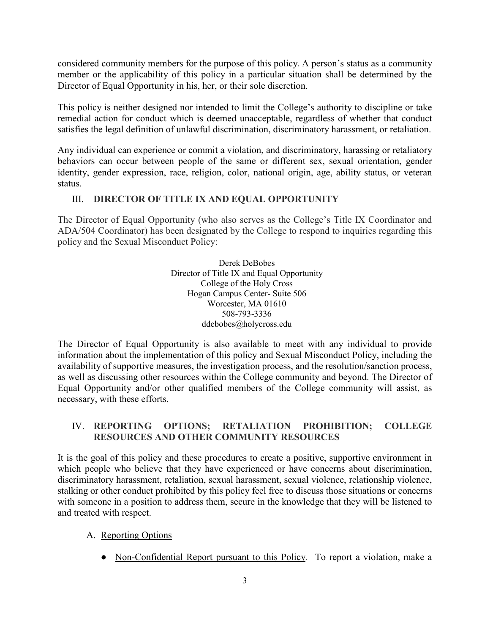considered community members for the purpose of this policy. A person's status as a community member or the applicability of this policy in a particular situation shall be determined by the Director of Equal Opportunity in his, her, or their sole discretion.

This policy is neither designed nor intended to limit the College's authority to discipline or take remedial action for conduct which is deemed unacceptable, regardless of whether that conduct satisfies the legal definition of unlawful discrimination, discriminatory harassment, or retaliation.

Any individual can experience or commit a violation, and discriminatory, harassing or retaliatory behaviors can occur between people of the same or different sex, sexual orientation, gender identity, gender expression, race, religion, color, national origin, age, ability status, or veteran status.

# III. **DIRECTOR OF TITLE IX AND EQUAL OPPORTUNITY**

The Director of Equal Opportunity (who also serves as the College's Title IX Coordinator and ADA/504 Coordinator) has been designated by the College to respond to inquiries regarding this policy and the Sexual Misconduct Policy:

> Derek DeBobes Director of Title IX and Equal Opportunity College of the Holy Cross Hogan Campus Center- Suite 506 Worcester, MA 01610 508-793-3336 [ddebobes@holycross.edu](mailto:ddebobes@holycross.edu)

The Director of Equal Opportunity is also available to meet with any individual to provide information about the implementation of this policy and Sexual Misconduct Policy, including the availability of supportive measures, the investigation process, and the resolution/sanction process, as well as discussing other resources within the College community and beyond. The Director of Equal Opportunity and/or other qualified members of the College community will assist, as necessary, with these efforts.

## IV. **REPORTING OPTIONS; RETALIATION PROHIBITION; COLLEGE RESOURCES AND OTHER COMMUNITY RESOURCES**

It is the goal of this policy and these procedures to create a positive, supportive environment in which people who believe that they have experienced or have concerns about discrimination, discriminatory harassment, retaliation, sexual harassment, sexual violence, relationship violence, stalking or other conduct prohibited by this policy feel free to discuss those situations or concerns with someone in a position to address them, secure in the knowledge that they will be listened to and treated with respect.

- A. Reporting Options
	- Non-Confidential Report pursuant to this Policy*.* To report a violation, make a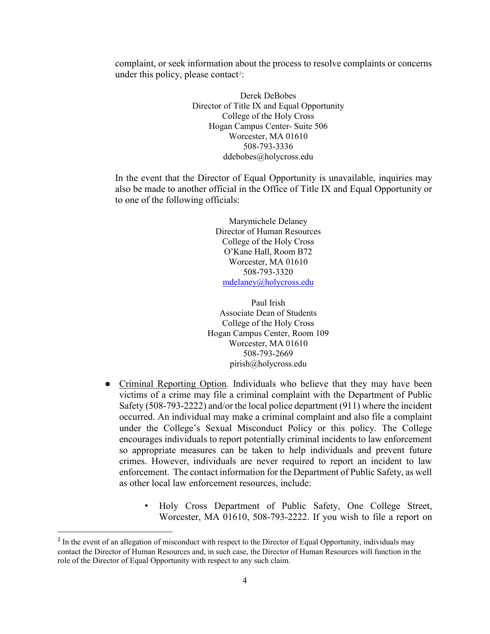complaint, or seek information about the process to resolve complaints or concerns under this policy, please contact<sup>2</sup>:

> Derek DeBobes Director of Title IX and Equal Opportunity College of the Holy Cross Hogan Campus Center- Suite 506 Worcester, MA 01610 508-793-3336 [ddebobes@holycross.edu](mailto:ddebobes@holycross.edu)

In the event that the Director of Equal Opportunity is unavailable, inquiries may also be made to another official in the Office of Title IX and Equal Opportunity or to one of the following officials:

> Marymichele Delaney Director of Human Resources College of the Holy Cross O'Kane Hall, Room B72 Worcester, MA 01610 508-793-3320 [mdelaney@holycross.edu](mailto:mdelaney@holycross.edu)

Paul Irish Associate Dean of Students College of the Holy Cross Hogan Campus Center, Room 109 Worcester, MA 01610 508-793-2669 pirish@holycross.edu

- Criminal Reporting Option*.* Individuals who believe that they may have been victims of a crime may file a criminal complaint with the Department of Public Safety (508-793-2222) and/or the local police department (911) where the incident occurred. An individual may make a criminal complaint and also file a complaint under the College's Sexual Misconduct Policy or this policy. The College encourages individuals to report potentially criminal incidents to law enforcement so appropriate measures can be taken to help individuals and prevent future crimes. However, individuals are never required to report an incident to law enforcement. The contact information for the Department of Public Safety, as well as other local law enforcement resources, include:
	- Holy Cross Department of Public Safety, One College Street, Worcester, MA 01610, 508-793-2222. If you wish to file a report on

<span id="page-3-0"></span><sup>&</sup>lt;sup>2</sup> In the event of an allegation of misconduct with respect to the Director of Equal Opportunity, individuals may contact the Director of Human Resources and, in such case, the Director of Human Resources will function in the role of the Director of Equal Opportunity with respect to any such claim.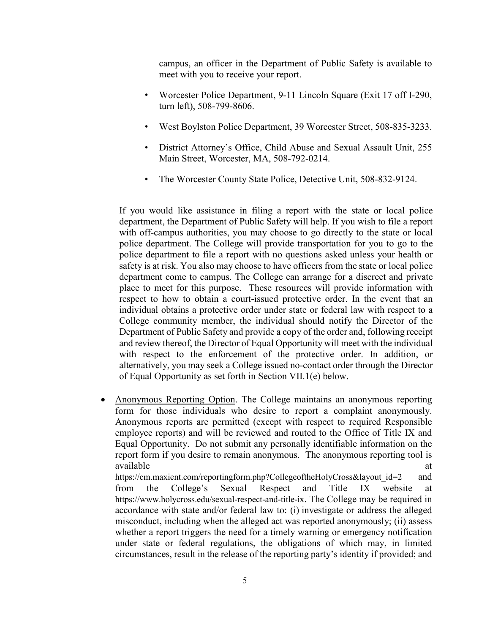campus, an officer in the Department of Public Safety is available to meet with you to receive your report.

- Worcester Police Department, 9-11 Lincoln Square (Exit 17 off I-290, turn left), 508-799-8606.
- West Boylston Police Department, 39 Worcester Street, 508-835-3233.
- District Attorney's Office, Child Abuse and Sexual Assault Unit, 255 Main Street, Worcester, MA, 508-792-0214.
- The Worcester County State Police, Detective Unit, 508-832-9124.

If you would like assistance in filing a report with the state or local police department, the Department of Public Safety will help. If you wish to file a report with off-campus authorities, you may choose to go directly to the state or local police department. The College will provide transportation for you to go to the police department to file a report with no questions asked unless your health or safety is at risk. You also may choose to have officers from the state or local police department come to campus. The College can arrange for a discreet and private place to meet for this purpose.These resources will provide information with respect to how to obtain a court-issued protective order. In the event that an individual obtains a protective order under state or federal law with respect to a College community member, the individual should notify the Director of the Department of Public Safety and provide a copy of the order and, following receipt and review thereof, the Director of Equal Opportunity will meet with the individual with respect to the enforcement of the protective order. In addition, or alternatively, you may seek a College issued no-contact order through the Director of Equal Opportunity as set forth in Section VII.1(e) below.

• Anonymous Reporting Option. The College maintains an anonymous reporting form for those individuals who desire to report a complaint anonymously. Anonymous reports are permitted (except with respect to required Responsible employee reports) and will be reviewed and routed to the Office of Title IX and Equal Opportunity. Do not submit any personally identifiable information on the report form if you desire to remain anonymous. The anonymous reporting tool is available at a state of  $\alpha$  at a state of  $\alpha$  at a state of  $\alpha$  at a state of  $\alpha$  at a state of  $\alpha$  at a state of  $\alpha$  at a state of  $\alpha$  at a state of  $\alpha$  at a state of  $\alpha$  at a state of  $\alpha$  at a state of  $\alpha$  at

[https://cm.maxient.com/reportingform.php?CollegeoftheHolyCross&layout\\_id=2](https://cm.maxient.com/reportingform.php?CollegeoftheHolyCross&layout_id=2) and from the College's Sexual Respect and Title IX website at [https://www.holycross.edu/sexual-respect-and-title-ix.](https://www.holycross.edu/sexual-respect-and-title-ix) The College may be required in accordance with state and/or federal law to: (i) investigate or address the alleged misconduct, including when the alleged act was reported anonymously; (ii) assess whether a report triggers the need for a timely warning or emergency notification under state or federal regulations, the obligations of which may, in limited circumstances, result in the release of the reporting party's identity if provided; and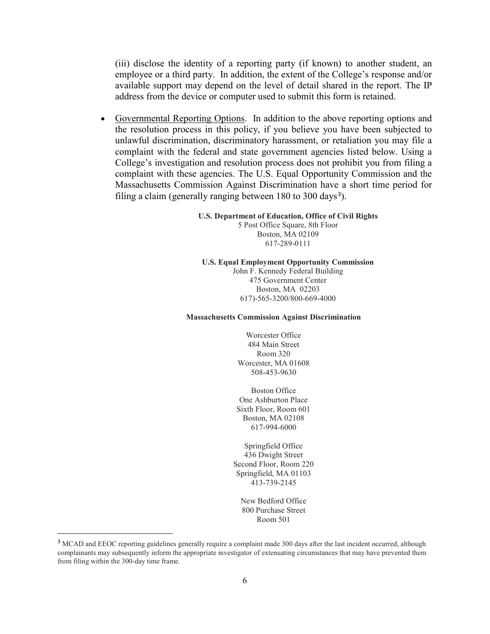(iii) disclose the identity of a reporting party (if known) to another student, an employee or a third party. In addition, the extent of the College's response and/or available support may depend on the level of detail shared in the report. The IP address from the device or computer used to submit this form is retained.

• Governmental Reporting Options. In addition to the above reporting options and the resolution process in this policy, if you believe you have been subjected to unlawful discrimination, discriminatory harassment, or retaliation you may file a complaint with the federal and state government agencies listed below. Using a College's investigation and resolution process does not prohibit you from filing a complaint with these agencies. The U.S. Equal Opportunity Commission and the Massachusetts Commission Against Discrimination have a short time period for filing a claim (generally ranging between  $180$  to  $300 \text{ days}^3$  $300 \text{ days}^3$ ).

#### **U.S. Department of Education, Office of Civil Rights**

5 Post Office Square, 8th Floor Boston, MA 02109 617-289-0111

#### **U.S. Equal Employment Opportunity Commission**

John F. Kennedy Federal Building 475 Government Center Boston, MA 02203 617)-565-3200/800-669-4000

#### **Massachusetts Commission Against Discrimination**

Worcester Office 484 Main Street Room 320 Worcester, MA 01608 508-453-9630

Boston Office One Ashburton Place Sixth Floor, Room 601 Boston, MA 02108 617-994-6000

Springfield Office 436 Dwight Street Second Floor, Room 220 Springfield, MA 01103 413-739-2145

New Bedford Office 800 Purchase Street Room 501

<span id="page-5-0"></span><sup>&</sup>lt;sup>3</sup> MCAD and EEOC reporting guidelines generally require a complaint made 300 days after the last incident occurred, although complainants may subsequently inform the appropriate investigator of extenuating circumstances that may have prevented them from filing within the 300-day time frame.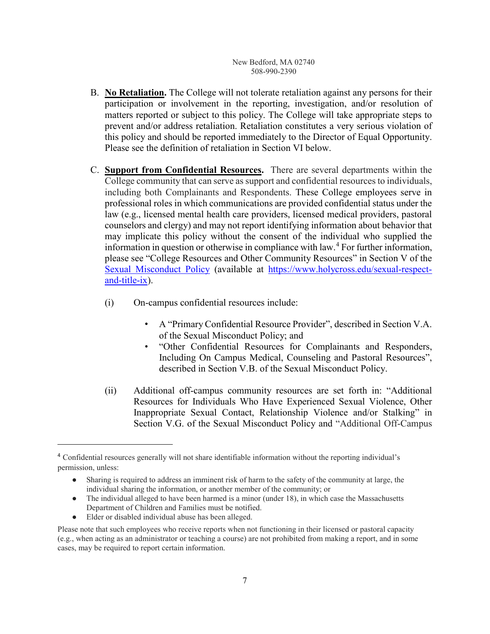#### New Bedford, MA 02740 508-990-2390

- B. **No Retaliation.** The College will not tolerate retaliation against any persons for their participation or involvement in the reporting, investigation, and/or resolution of matters reported or subject to this policy. The College will take appropriate steps to prevent and/or address retaliation. Retaliation constitutes a very serious violation of this policy and should be reported immediately to the Director of Equal Opportunity. Please see the definition of retaliation in Section VI below.
- C. **Support from Confidential Resources.** There are several departments within the College community that can serve as support and confidential resources to individuals, including both Complainants and Respondents. These College employees serve in professional roles in which communications are provided confidential status under the law (e.g., licensed mental health care providers, licensed medical providers, pastoral counselors and clergy) and may not report identifying information about behavior that may implicate this policy without the consent of the individual who supplied the information in question or otherwise in compliance with law.<sup>[4](#page-6-0)</sup> For further information, please see "College Resources and Other Community Resources" in Section V of the [Sexual Misconduct Policy](https://www.holycross.edu/sexual-respect-and-title-ix) (available at [https://www.holycross.edu/sexual-respect](https://www.holycross.edu/sexual-respect-and-title-ix)[and-title-ix\)](https://www.holycross.edu/sexual-respect-and-title-ix).
	- (i) On-campus confidential resources include:
		- A "Primary Confidential Resource Provider", described in Section V.A. of the Sexual Misconduct Policy; and
		- "Other Confidential Resources for Complainants and Responders, Including On Campus Medical, Counseling and Pastoral Resources", described in Section V.B. of the Sexual Misconduct Policy.
	- (ii) Additional off-campus community resources are set forth in: "Additional Resources for Individuals Who Have Experienced Sexual Violence, Other Inappropriate Sexual Contact, Relationship Violence and/or Stalking" in Section V.G. of the Sexual Misconduct Policy and "Additional Off-Campus

- The individual alleged to have been harmed is a minor (under 18), in which case the Massachusetts Department of Children and Families must be notified.
- Elder or disabled individual abuse has been alleged.

 $\overline{\phantom{a}}$ 

<span id="page-6-0"></span><sup>4</sup> Confidential resources generally will not share identifiable information without the reporting individual's permission, unless:

Sharing is required to address an imminent risk of harm to the safety of the community at large, the individual sharing the information, or another member of the community; or

Please note that such employees who receive reports when not functioning in their licensed or pastoral capacity (e.g., when acting as an administrator or teaching a course) are not prohibited from making a report, and in some cases, may be required to report certain information.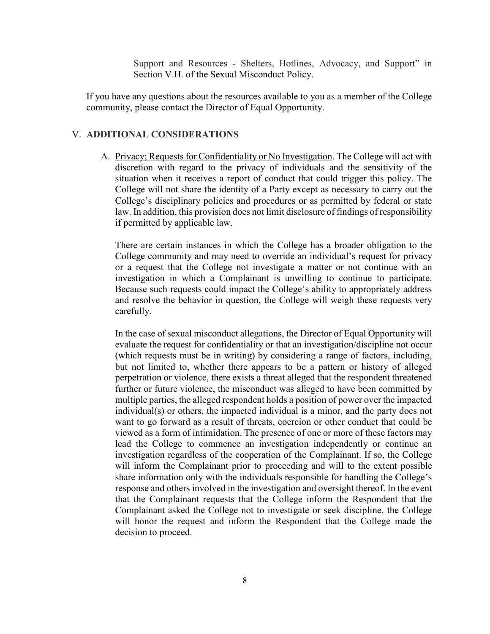Support and Resources - Shelters, Hotlines, Advocacy, and Support" in Section V.H. of the Sexual Misconduct Policy.

If you have any questions about the resources available to you as a member of the College community, please contact the Director of Equal Opportunity.

#### V. **ADDITIONAL CONSIDERATIONS**

A. Privacy; Requests for Confidentiality or No Investigation. The College will act with discretion with regard to the privacy of individuals and the sensitivity of the situation when it receives a report of conduct that could trigger this policy. The College will not share the identity of a Party except as necessary to carry out the College's disciplinary policies and procedures or as permitted by federal or state law. In addition, this provision does not limit disclosure of findings of responsibility if permitted by applicable law.

There are certain instances in which the College has a broader obligation to the College community and may need to override an individual's request for privacy or a request that the College not investigate a matter or not continue with an investigation in which a Complainant is unwilling to continue to participate. Because such requests could impact the College's ability to appropriately address and resolve the behavior in question, the College will weigh these requests very carefully.

In the case of sexual misconduct allegations, the Director of Equal Opportunity will evaluate the request for confidentiality or that an investigation/discipline not occur (which requests must be in writing) by considering a range of factors, including, but not limited to, whether there appears to be a pattern or history of alleged perpetration or violence, there exists a threat alleged that the respondent threatened further or future violence, the misconduct was alleged to have been committed by multiple parties, the alleged respondent holds a position of power over the impacted individual(s) or others, the impacted individual is a minor, and the party does not want to go forward as a result of threats, coercion or other conduct that could be viewed as a form of intimidation. The presence of one or more of these factors may lead the College to commence an investigation independently or continue an investigation regardless of the cooperation of the Complainant. If so, the College will inform the Complainant prior to proceeding and will to the extent possible share information only with the individuals responsible for handling the College's response and others involved in the investigation and oversight thereof. In the event that the Complainant requests that the College inform the Respondent that the Complainant asked the College not to investigate or seek discipline, the College will honor the request and inform the Respondent that the College made the decision to proceed.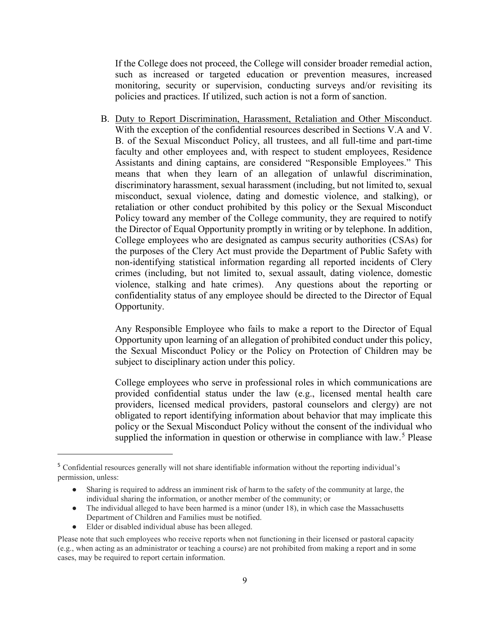If the College does not proceed, the College will consider broader remedial action, such as increased or targeted education or prevention measures, increased monitoring, security or supervision, conducting surveys and/or revisiting its policies and practices. If utilized, such action is not a form of sanction.

B. Duty to Report Discrimination, Harassment, Retaliation and Other Misconduct. With the exception of the confidential resources described in Sections V.A and V. B. of the Sexual Misconduct Policy, all trustees, and all full-time and part-time faculty and other employees and, with respect to student employees, Residence Assistants and dining captains, are considered "Responsible Employees." This means that when they learn of an allegation of unlawful discrimination, discriminatory harassment, sexual harassment (including, but not limited to, sexual misconduct, sexual violence, dating and domestic violence, and stalking), or retaliation or other conduct prohibited by this policy or the Sexual Misconduct Policy toward any member of the College community, they are required to notify the Director of Equal Opportunity promptly in writing or by telephone. In addition, College employees who are designated as campus security authorities (CSAs) for the purposes of the Clery Act must provide the Department of Public Safety with non-identifying statistical information regarding all reported incidents of Clery crimes (including, but not limited to, sexual assault, dating violence, domestic violence, stalking and hate crimes). Any questions about the reporting or confidentiality status of any employee should be directed to the Director of Equal Opportunity.

Any Responsible Employee who fails to make a report to the Director of Equal Opportunity upon learning of an allegation of prohibited conduct under this policy, the Sexual Misconduct Policy or the Policy on Protection of Children may be subject to disciplinary action under this policy.

College employees who serve in professional roles in which communications are provided confidential status under the law (e.g., licensed mental health care providers, licensed medical providers, pastoral counselors and clergy) are not obligated to report identifying information about behavior that may implicate this policy or the Sexual Misconduct Policy without the consent of the individual who supplied the information in question or otherwise in compliance with law.<sup>[5](#page-8-0)</sup> Please

- The individual alleged to have been harmed is a minor (under 18), in which case the Massachusetts Department of Children and Families must be notified.
- Elder or disabled individual abuse has been alleged.

l

<span id="page-8-0"></span><sup>5</sup> Confidential resources generally will not share identifiable information without the reporting individual's permission, unless:

Sharing is required to address an imminent risk of harm to the safety of the community at large, the individual sharing the information, or another member of the community; or

Please note that such employees who receive reports when not functioning in their licensed or pastoral capacity (e.g., when acting as an administrator or teaching a course) are not prohibited from making a report and in some cases, may be required to report certain information.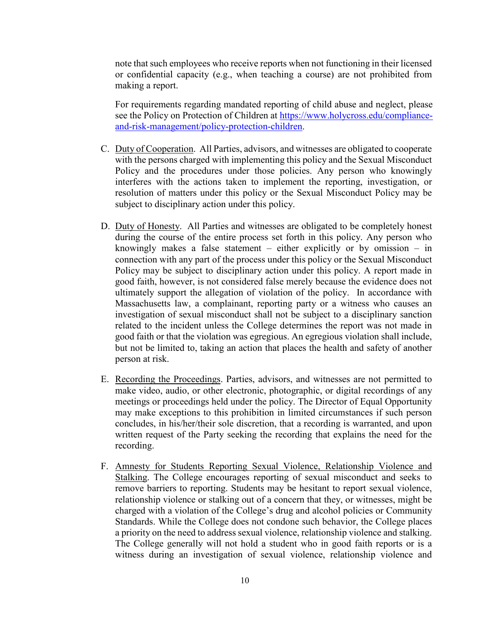note that such employees who receive reports when not functioning in their licensed or confidential capacity (e.g., when teaching a course) are not prohibited from making a report.

For requirements regarding mandated reporting of child abuse and neglect, please see the Policy on Protection of Children at https:/[/www.holycross.edu/compliance](http://www.holycross.edu/compliance-and-risk-management/policy-)[and-risk-management/policy-p](http://www.holycross.edu/compliance-and-risk-management/policy-)rotection-children.

- C. Duty of Cooperation. All Parties, advisors, and witnesses are obligated to cooperate with the persons charged with implementing this policy and the Sexual Misconduct Policy and the procedures under those policies. Any person who knowingly interferes with the actions taken to implement the reporting, investigation, or resolution of matters under this policy or the Sexual Misconduct Policy may be subject to disciplinary action under this policy.
- D. Duty of Honesty. All Parties and witnesses are obligated to be completely honest during the course of the entire process set forth in this policy. Any person who knowingly makes a false statement – either explicitly or by omission – in connection with any part of the process under this policy or the Sexual Misconduct Policy may be subject to disciplinary action under this policy. A report made in good faith, however, is not considered false merely because the evidence does not ultimately support the allegation of violation of the policy. In accordance with Massachusetts law, a complainant, reporting party or a witness who causes an investigation of sexual misconduct shall not be subject to a disciplinary sanction related to the incident unless the College determines the report was not made in good faith or that the violation was egregious. An egregious violation shall include, but not be limited to, taking an action that places the health and safety of another person at risk.
- E. Recording the Proceedings. Parties, advisors, and witnesses are not permitted to make video, audio, or other electronic, photographic, or digital recordings of any meetings or proceedings held under the policy. The Director of Equal Opportunity may make exceptions to this prohibition in limited circumstances if such person concludes, in his/her/their sole discretion, that a recording is warranted, and upon written request of the Party seeking the recording that explains the need for the recording.
- F. Amnesty for Students Reporting Sexual Violence, Relationship Violence and Stalking. The College encourages reporting of sexual misconduct and seeks to remove barriers to reporting. Students may be hesitant to report sexual violence, relationship violence or stalking out of a concern that they, or witnesses, might be charged with a violation of the College's drug and alcohol policies or Community Standards. While the College does not condone such behavior, the College places a priority on the need to address sexual violence, relationship violence and stalking. The College generally will not hold a student who in good faith reports or is a witness during an investigation of sexual violence, relationship violence and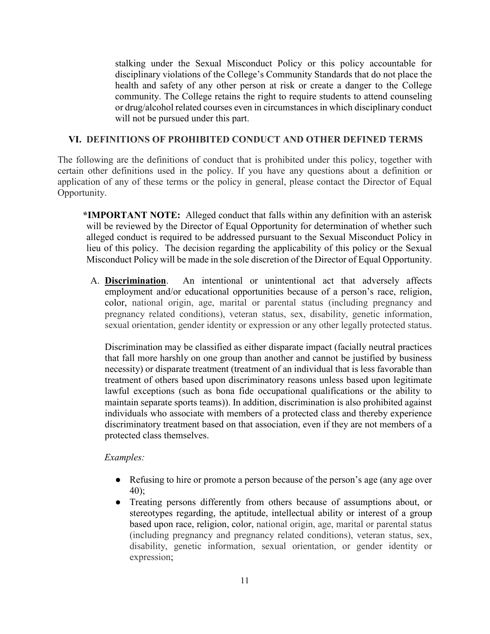stalking under the Sexual Misconduct Policy or this policy accountable for disciplinary violations of the College's Community Standards that do not place the health and safety of any other person at risk or create a danger to the College community. The College retains the right to require students to attend counseling or drug/alcohol related courses even in circumstances in which disciplinary conduct will not be pursued under this part.

## **VI. DEFINITIONS OF PROHIBITED CONDUCT AND OTHER DEFINED TERMS**

The following are the definitions of conduct that is prohibited under this policy, together with certain other definitions used in the policy. If you have any questions about a definition or application of any of these terms or the policy in general, please contact the Director of Equal Opportunity.

**\*IMPORTANT NOTE:** Alleged conduct that falls within any definition with an asterisk will be reviewed by the Director of Equal Opportunity for determination of whether such alleged conduct is required to be addressed pursuant to the Sexual Misconduct Policy in lieu of this policy. The decision regarding the applicability of this policy or the Sexual Misconduct Policy will be made in the sole discretion of the Director of Equal Opportunity.

A. **Discrimination**. An intentional or unintentional act that adversely affects employment and/or educational opportunities because of a person's race, religion, color, national origin, age, marital or parental status (including pregnancy and pregnancy related conditions), veteran status, sex, disability, genetic information, sexual orientation, gender identity or expression or any other legally protected status.

Discrimination may be classified as either disparate impact (facially neutral practices that fall more harshly on one group than another and cannot be justified by business necessity) or disparate treatment (treatment of an individual that is less favorable than treatment of others based upon discriminatory reasons unless based upon legitimate lawful exceptions (such as bona fide occupational qualifications or the ability to maintain separate sports teams)). In addition, discrimination is also prohibited against individuals who associate with members of a protected class and thereby experience discriminatory treatment based on that association, even if they are not members of a protected class themselves.

### *Examples:*

- Refusing to hire or promote a person because of the person's age (any age over 40);
- Treating persons differently from others because of assumptions about, or stereotypes regarding, the aptitude, intellectual ability or interest of a group based upon race, religion, color, national origin, age, marital or parental status (including pregnancy and pregnancy related conditions), veteran status, sex, disability, genetic information, sexual orientation, or gender identity or expression;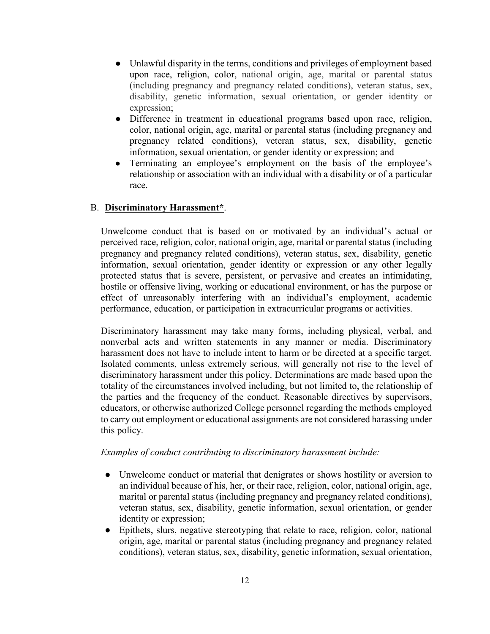- Unlawful disparity in the terms, conditions and privileges of employment based upon race, religion, color, national origin, age, marital or parental status (including pregnancy and pregnancy related conditions), veteran status, sex, disability, genetic information, sexual orientation, or gender identity or expression;
- Difference in treatment in educational programs based upon race, religion, color, national origin, age, marital or parental status (including pregnancy and pregnancy related conditions), veteran status, sex, disability, genetic information, sexual orientation, or gender identity or expression; and
- Terminating an employee's employment on the basis of the employee's relationship or association with an individual with a disability or of a particular race.

## B. **Discriminatory Harassment\***.

Unwelcome conduct that is based on or motivated by an individual's actual or perceived race, religion, color, national origin, age, marital or parental status (including pregnancy and pregnancy related conditions), veteran status, sex, disability, genetic information, sexual orientation, gender identity or expression or any other legally protected status that is severe, persistent, or pervasive and creates an intimidating, hostile or offensive living, working or educational environment, or has the purpose or effect of unreasonably interfering with an individual's employment, academic performance, education, or participation in extracurricular programs or activities.

Discriminatory harassment may take many forms, including physical, verbal, and nonverbal acts and written statements in any manner or media. Discriminatory harassment does not have to include intent to harm or be directed at a specific target. Isolated comments, unless extremely serious, will generally not rise to the level of discriminatory harassment under this policy. Determinations are made based upon the totality of the circumstances involved including, but not limited to, the relationship of the parties and the frequency of the conduct. Reasonable directives by supervisors, educators, or otherwise authorized College personnel regarding the methods employed to carry out employment or educational assignments are not considered harassing under this policy.

### *Examples of conduct contributing to discriminatory harassment include:*

- Unwelcome conduct or material that denigrates or shows hostility or aversion to an individual because of his, her, or their race, religion, color, national origin, age, marital or parental status (including pregnancy and pregnancy related conditions), veteran status, sex, disability, genetic information, sexual orientation, or gender identity or expression;
- Epithets, slurs, negative stereotyping that relate to race, religion, color, national origin, age, marital or parental status (including pregnancy and pregnancy related conditions), veteran status, sex, disability, genetic information, sexual orientation,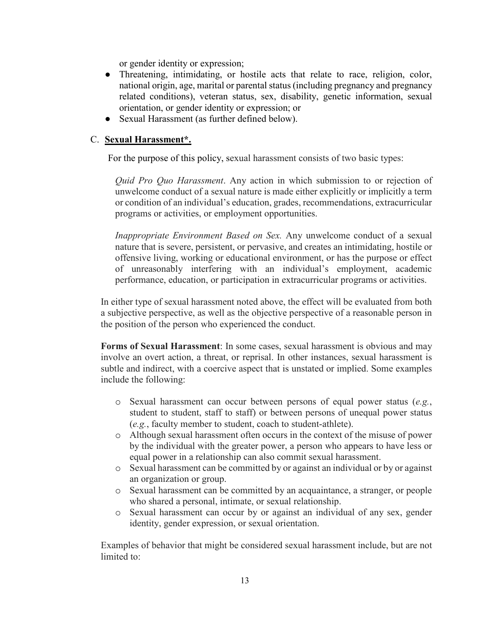or gender identity or expression;

- Threatening, intimidating, or hostile acts that relate to race, religion, color, national origin, age, marital or parental status (including pregnancy and pregnancy related conditions), veteran status, sex, disability, genetic information, sexual orientation, or gender identity or expression; or
- Sexual Harassment (as further defined below).

### C. **Sexual Harassment\*.**

For the purpose of this policy, sexual harassment consists of two basic types:

*Quid Pro Quo Harassment*. Any action in which submission to or rejection of unwelcome conduct of a sexual nature is made either explicitly or implicitly a term or condition of an individual's education, grades, recommendations, extracurricular programs or activities, or employment opportunities.

*Inappropriate Environment Based on Sex.* Any unwelcome conduct of a sexual nature that is severe, persistent, or pervasive, and creates an intimidating, hostile or offensive living, working or educational environment, or has the purpose or effect of unreasonably interfering with an individual's employment, academic performance, education, or participation in extracurricular programs or activities.

In either type of sexual harassment noted above, the effect will be evaluated from both a subjective perspective, as well as the objective perspective of a reasonable person in the position of the person who experienced the conduct.

**Forms of Sexual Harassment**: In some cases, sexual harassment is obvious and may involve an overt action, a threat, or reprisal. In other instances, sexual harassment is subtle and indirect, with a coercive aspect that is unstated or implied. Some examples include the following:

- o Sexual harassment can occur between persons of equal power status (*e.g.*, student to student, staff to staff) or between persons of unequal power status (*e.g.*, faculty member to student, coach to student-athlete).
- o Although sexual harassment often occurs in the context of the misuse of power by the individual with the greater power, a person who appears to have less or equal power in a relationship can also commit sexual harassment.
- o Sexual harassment can be committed by or against an individual or by or against an organization or group.
- o Sexual harassment can be committed by an acquaintance, a stranger, or people who shared a personal, intimate, or sexual relationship.
- o Sexual harassment can occur by or against an individual of any sex, gender identity, gender expression, or sexual orientation.

Examples of behavior that might be considered sexual harassment include, but are not limited to: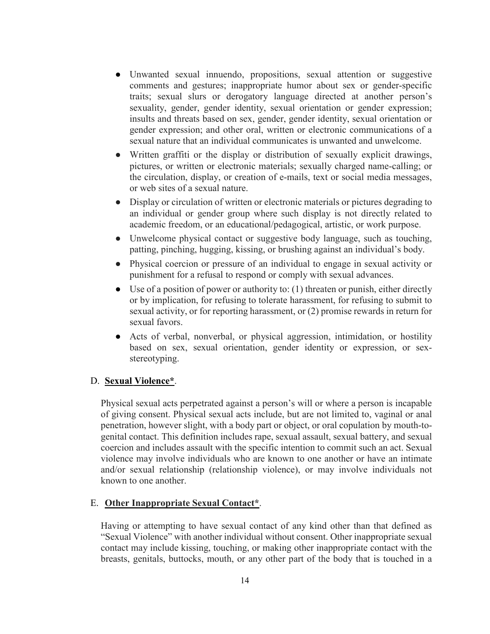- Unwanted sexual innuendo, propositions, sexual attention or suggestive comments and gestures; inappropriate humor about sex or gender-specific traits; sexual slurs or derogatory language directed at another person's sexuality, gender, gender identity, sexual orientation or gender expression; insults and threats based on sex, gender, gender identity, sexual orientation or gender expression; and other oral, written or electronic communications of a sexual nature that an individual communicates is unwanted and unwelcome.
- Written graffiti or the display or distribution of sexually explicit drawings, pictures, or written or electronic materials; sexually charged name-calling; or the circulation, display, or creation of e-mails, text or social media messages, or web sites of a sexual nature.
- Display or circulation of written or electronic materials or pictures degrading to an individual or gender group where such display is not directly related to academic freedom, or an educational/pedagogical, artistic, or work purpose.
- Unwelcome physical contact or suggestive body language, such as touching, patting, pinching, hugging, kissing, or brushing against an individual's body.
- Physical coercion or pressure of an individual to engage in sexual activity or punishment for a refusal to respond or comply with sexual advances.
- $\bullet$  Use of a position of power or authority to: (1) threaten or punish, either directly or by implication, for refusing to tolerate harassment, for refusing to submit to sexual activity, or for reporting harassment, or (2) promise rewards in return for sexual favors.
- Acts of verbal, nonverbal, or physical aggression, intimidation, or hostility based on sex, sexual orientation, gender identity or expression, or sexstereotyping.

### D. **Sexual Violence\***.

Physical sexual acts perpetrated against a person's will or where a person is incapable of giving consent. Physical sexual acts include, but are not limited to, vaginal or anal penetration, however slight, with a body part or object, or oral copulation by mouth-togenital contact. This definition includes rape, sexual assault, sexual battery, and sexual coercion and includes assault with the specific intention to commit such an act. Sexual violence may involve individuals who are known to one another or have an intimate and/or sexual relationship (relationship violence), or may involve individuals not known to one another.

### E. **Other Inappropriate Sexual Contact\***.

Having or attempting to have sexual contact of any kind other than that defined as "Sexual Violence" with another individual without consent. Other inappropriate sexual contact may include kissing, touching, or making other inappropriate contact with the breasts, genitals, buttocks, mouth, or any other part of the body that is touched in a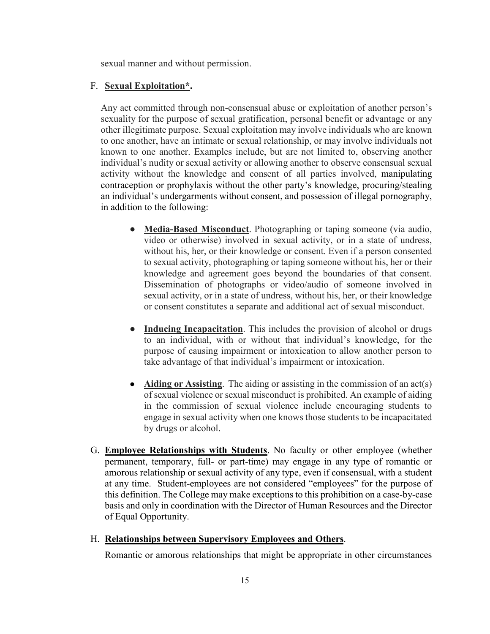sexual manner and without permission.

#### F. **Sexual Exploitation\*.**

Any act committed through non-consensual abuse or exploitation of another person's sexuality for the purpose of sexual gratification, personal benefit or advantage or any other illegitimate purpose. Sexual exploitation may involve individuals who are known to one another, have an intimate or sexual relationship, or may involve individuals not known to one another. Examples include, but are not limited to, observing another individual's nudity or sexual activity or allowing another to observe consensual sexual activity without the knowledge and consent of all parties involved, manipulating contraception or prophylaxis without the other party's knowledge, procuring/stealing an individual's undergarments without consent, and possession of illegal pornography, in addition to the following:

- **Media-Based Misconduct**. Photographing or taping someone (via audio, video or otherwise) involved in sexual activity, or in a state of undress, without his, her, or their knowledge or consent. Even if a person consented to sexual activity, photographing or taping someone without his, her or their knowledge and agreement goes beyond the boundaries of that consent. Dissemination of photographs or video/audio of someone involved in sexual activity, or in a state of undress, without his, her, or their knowledge or consent constitutes a separate and additional act of sexual misconduct.
- **Inducing Incapacitation**. This includes the provision of alcohol or drugs to an individual, with or without that individual's knowledge, for the purpose of causing impairment or intoxication to allow another person to take advantage of that individual's impairment or intoxication.
- **Aiding or Assisting**. The aiding or assisting in the commission of an act(s) of sexual violence or sexual misconduct is prohibited. An example of aiding in the commission of sexual violence include encouraging students to engage in sexual activity when one knows those students to be incapacitated by drugs or alcohol.
- G. **Employee Relationships with Students**. No faculty or other employee (whether permanent, temporary, full- or part-time) may engage in any type of romantic or amorous relationship or sexual activity of any type, even if consensual, with a student at any time. Student-employees are not considered "employees" for the purpose of this definition. The College may make exceptions to this prohibition on a case-by-case basis and only in coordination with the Director of Human Resources and the Director of Equal Opportunity.

## H. **Relationships between Supervisory Employees and Others**.

Romantic or amorous relationships that might be appropriate in other circumstances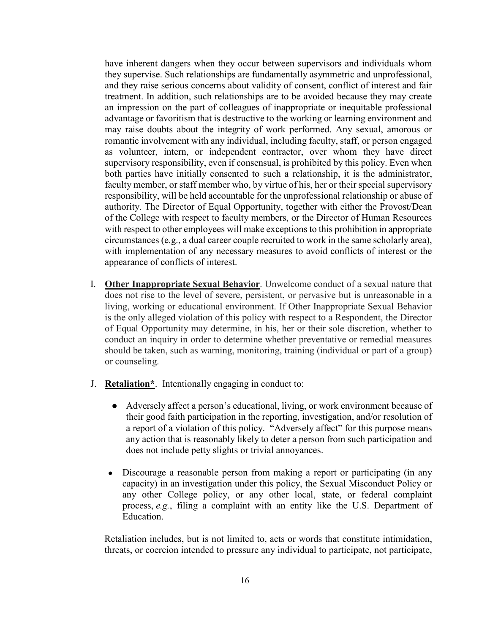have inherent dangers when they occur between supervisors and individuals whom they supervise. Such relationships are fundamentally asymmetric and unprofessional, and they raise serious concerns about validity of consent, conflict of interest and fair treatment. In addition, such relationships are to be avoided because they may create an impression on the part of colleagues of inappropriate or inequitable professional advantage or favoritism that is destructive to the working or learning environment and may raise doubts about the integrity of work performed. Any sexual, amorous or romantic involvement with any individual, including faculty, staff, or person engaged as volunteer, intern, or independent contractor, over whom they have direct supervisory responsibility, even if consensual, is prohibited by this policy. Even when both parties have initially consented to such a relationship, it is the administrator, faculty member, or staff member who, by virtue of his, her or their special supervisory responsibility, will be held accountable for the unprofessional relationship or abuse of authority. The Director of Equal Opportunity, together with either the Provost/Dean of the College with respect to faculty members, or the Director of Human Resources with respect to other employees will make exceptions to this prohibition in appropriate circumstances (e.g., a dual career couple recruited to work in the same scholarly area), with implementation of any necessary measures to avoid conflicts of interest or the appearance of conflicts of interest.

- I. **Other Inappropriate Sexual Behavior**. Unwelcome conduct of a sexual nature that does not rise to the level of severe, persistent, or pervasive but is unreasonable in a living, working or educational environment. If Other Inappropriate Sexual Behavior is the only alleged violation of this policy with respect to a Respondent, the Director of Equal Opportunity may determine, in his, her or their sole discretion, whether to conduct an inquiry in order to determine whether preventative or remedial measures should be taken, such as warning, monitoring, training (individual or part of a group) or counseling.
- J. **Retaliation\***. Intentionally engaging in conduct to:
	- Adversely affect a person's educational, living, or work environment because of their good faith participation in the reporting, investigation, and/or resolution of a report of a violation of this policy. "Adversely affect" for this purpose means any action that is reasonably likely to deter a person from such participation and does not include petty slights or trivial annoyances.
	- Discourage a reasonable person from making a report or participating (in any capacity) in an investigation under this policy, the Sexual Misconduct Policy or any other College policy, or any other local, state, or federal complaint process, *e.g.*, filing a complaint with an entity like the U.S. Department of Education.

Retaliation includes, but is not limited to, acts or words that constitute intimidation, threats, or coercion intended to pressure any individual to participate, not participate,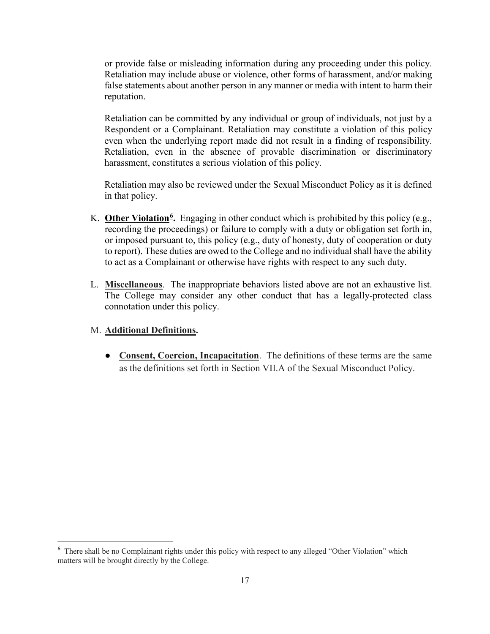or provide false or misleading information during any proceeding under this policy. Retaliation may include abuse or violence, other forms of harassment, and/or making false statements about another person in any manner or media with intent to harm their reputation.

Retaliation can be committed by any individual or group of individuals, not just by a Respondent or a Complainant. Retaliation may constitute a violation of this policy even when the underlying report made did not result in a finding of responsibility. Retaliation, even in the absence of provable discrimination or discriminatory harassment, constitutes a serious violation of this policy.

Retaliation may also be reviewed under the Sexual Misconduct Policy as it is defined in that policy.

- K. **Other Violation[6](#page-16-0).** Engaging in other conduct which is prohibited by this policy (e.g., recording the proceedings) or failure to comply with a duty or obligation set forth in, or imposed pursuant to, this policy (e.g., duty of honesty, duty of cooperation or duty to report). These duties are owed to the College and no individual shall have the ability to act as a Complainant or otherwise have rights with respect to any such duty.
- L. **Miscellaneous**. The inappropriate behaviors listed above are not an exhaustive list. The College may consider any other conduct that has a legally-protected class connotation under this policy.

## M. **Additional Definitions.**

● **Consent, Coercion, Incapacitation**. The definitions of these terms are the same as the definitions set forth in Section VII.A of the Sexual Misconduct Policy.

<span id="page-16-0"></span><sup>&</sup>lt;sup>6</sup> There shall be no Complainant rights under this policy with respect to any alleged "Other Violation" which matters will be brought directly by the College.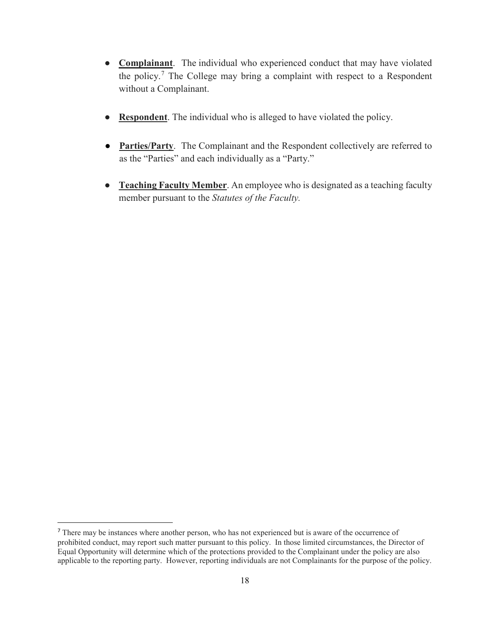- **Complainant**. The individual who experienced conduct that may have violated the policy.[7](#page-17-0) The College may bring a complaint with respect to a Respondent without a Complainant.
- **Respondent**. The individual who is alleged to have violated the policy.
- **Parties/Party**. The Complainant and the Respondent collectively are referred to as the "Parties" and each individually as a "Party."
- **Teaching Faculty Member**. An employee who is designated as a teaching faculty member pursuant to the *Statutes of the Faculty.*

<span id="page-17-0"></span> <sup>7</sup> There may be instances where another person, who has not experienced but is aware of the occurrence of prohibited conduct, may report such matter pursuant to this policy. In those limited circumstances, the Director of Equal Opportunity will determine which of the protections provided to the Complainant under the policy are also applicable to the reporting party. However, reporting individuals are not Complainants for the purpose of the policy.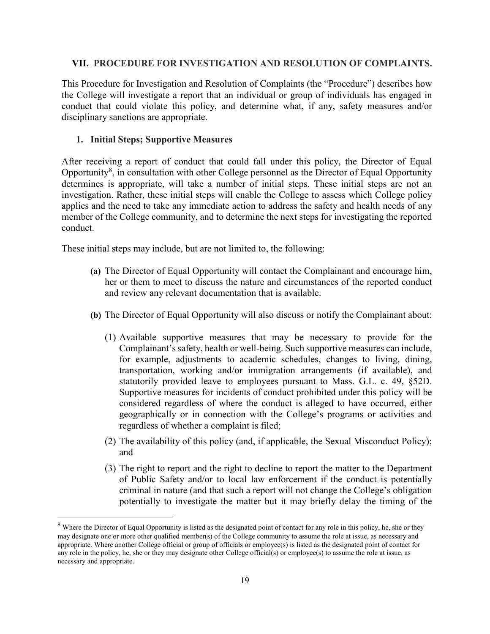#### **VII. PROCEDURE FOR INVESTIGATION AND RESOLUTION OF COMPLAINTS.**

This Procedure for Investigation and Resolution of Complaints (the "Procedure") describes how the College will investigate a report that an individual or group of individuals has engaged in conduct that could violate this policy, and determine what, if any, safety measures and/or disciplinary sanctions are appropriate.

#### **1. Initial Steps; Supportive Measures**

After receiving a report of conduct that could fall under this policy, the Director of Equal Opportunity<sup>[8](#page-18-0)</sup>, in consultation with other College personnel as the Director of Equal Opportunity determines is appropriate, will take a number of initial steps. These initial steps are not an investigation. Rather, these initial steps will enable the College to assess which College policy applies and the need to take any immediate action to address the safety and health needs of any member of the College community, and to determine the next steps for investigating the reported conduct.

These initial steps may include, but are not limited to, the following:

- **(a)** The Director of Equal Opportunity will contact the Complainant and encourage him, her or them to meet to discuss the nature and circumstances of the reported conduct and review any relevant documentation that is available.
- **(b)** The Director of Equal Opportunity will also discuss or notify the Complainant about:
	- (1) Available supportive measures that may be necessary to provide for the Complainant's safety, health or well-being. Such supportive measures can include, for example, adjustments to academic schedules, changes to living, dining, transportation, working and/or immigration arrangements (if available), and statutorily provided leave to employees pursuant to Mass. G.L. c. 49, §52D. Supportive measures for incidents of conduct prohibited under this policy will be considered regardless of where the conduct is alleged to have occurred, either geographically or in connection with the College's programs or activities and regardless of whether a complaint is filed;
	- (2) The availability of this policy (and, if applicable, the Sexual Misconduct Policy); and
	- (3) The right to report and the right to decline to report the matter to the Department of Public Safety and/or to local law enforcement if the conduct is potentially criminal in nature (and that such a report will not change the College's obligation potentially to investigate the matter but it may briefly delay the timing of the

<span id="page-18-0"></span><sup>&</sup>lt;sup>8</sup> Where the Director of Equal Opportunity is listed as the designated point of contact for any role in this policy, he, she or they may designate one or more other qualified member(s) of the College community to assume the role at issue, as necessary and appropriate. Where another College official or group of officials or employee(s) is listed as the designated point of contact for any role in the policy, he, she or they may designate other College official(s) or employee(s) to assume the role at issue, as necessary and appropriate.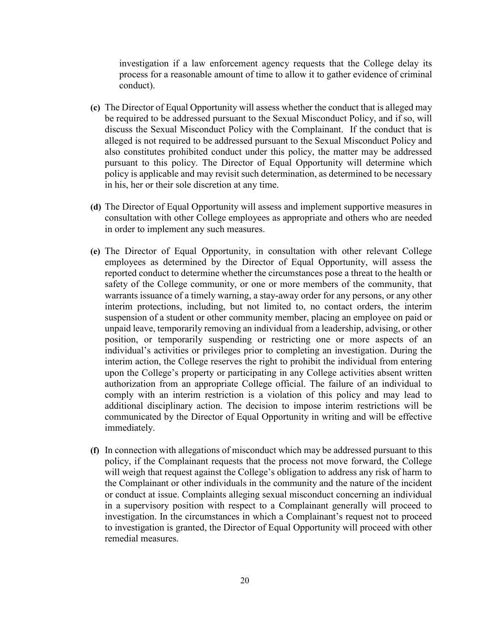investigation if a law enforcement agency requests that the College delay its process for a reasonable amount of time to allow it to gather evidence of criminal conduct).

- **(c)** The Director of Equal Opportunity will assess whether the conduct that is alleged may be required to be addressed pursuant to the Sexual Misconduct Policy, and if so, will discuss the Sexual Misconduct Policy with the Complainant. If the conduct that is alleged is not required to be addressed pursuant to the Sexual Misconduct Policy and also constitutes prohibited conduct under this policy, the matter may be addressed pursuant to this policy. The Director of Equal Opportunity will determine which policy is applicable and may revisit such determination, as determined to be necessary in his, her or their sole discretion at any time.
- **(d)** The Director of Equal Opportunity will assess and implement supportive measures in consultation with other College employees as appropriate and others who are needed in order to implement any such measures.
- **(e)** The Director of Equal Opportunity, in consultation with other relevant College employees as determined by the Director of Equal Opportunity, will assess the reported conduct to determine whether the circumstances pose a threat to the health or safety of the College community, or one or more members of the community, that warrants issuance of a timely warning, a stay-away order for any persons, or any other interim protections, including, but not limited to, no contact orders, the interim suspension of a student or other community member, placing an employee on paid or unpaid leave, temporarily removing an individual from a leadership, advising, or other position, or temporarily suspending or restricting one or more aspects of an individual's activities or privileges prior to completing an investigation. During the interim action, the College reserves the right to prohibit the individual from entering upon the College's property or participating in any College activities absent written authorization from an appropriate College official. The failure of an individual to comply with an interim restriction is a violation of this policy and may lead to additional disciplinary action. The decision to impose interim restrictions will be communicated by the Director of Equal Opportunity in writing and will be effective immediately.
- **(f)** In connection with allegations of misconduct which may be addressed pursuant to this policy, if the Complainant requests that the process not move forward, the College will weigh that request against the College's obligation to address any risk of harm to the Complainant or other individuals in the community and the nature of the incident or conduct at issue. Complaints alleging sexual misconduct concerning an individual in a supervisory position with respect to a Complainant generally will proceed to investigation. In the circumstances in which a Complainant's request not to proceed to investigation is granted, the Director of Equal Opportunity will proceed with other remedial measures.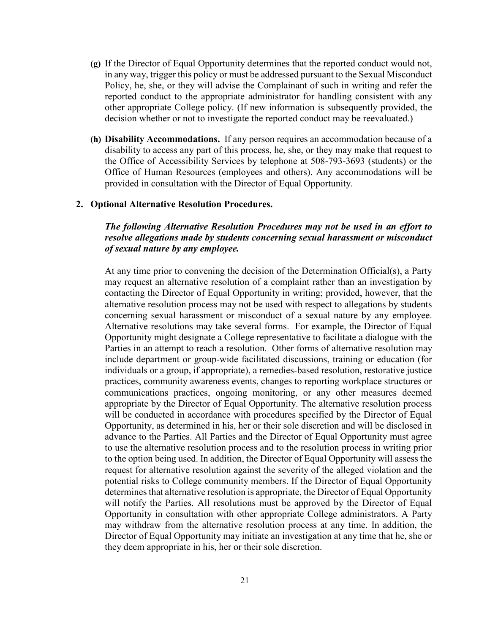- **(g)** If the Director of Equal Opportunity determines that the reported conduct would not, in any way, trigger this policy or must be addressed pursuant to the Sexual Misconduct Policy, he, she, or they will advise the Complainant of such in writing and refer the reported conduct to the appropriate administrator for handling consistent with any other appropriate College policy. (If new information is subsequently provided, the decision whether or not to investigate the reported conduct may be reevaluated.)
- **(h) Disability Accommodations.** If any person requires an accommodation because of a disability to access any part of this process, he, she, or they may make that request to the Office of Accessibility Services by telephone at 508-793-3693 (students) or the Office of Human Resources (employees and others). Any accommodations will be provided in consultation with the Director of Equal Opportunity.

### **2. Optional Alternative Resolution Procedures.**

## *The following Alternative Resolution Procedures may not be used in an effort to resolve allegations made by students concerning sexual harassment or misconduct of sexual nature by any employee.*

At any time prior to convening the decision of the Determination Official(s), a Party may request an alternative resolution of a complaint rather than an investigation by contacting the Director of Equal Opportunity in writing; provided, however, that the alternative resolution process may not be used with respect to allegations by students concerning sexual harassment or misconduct of a sexual nature by any employee. Alternative resolutions may take several forms. For example, the Director of Equal Opportunity might designate a College representative to facilitate a dialogue with the Parties in an attempt to reach a resolution. Other forms of alternative resolution may include department or group-wide facilitated discussions, training or education (for individuals or a group, if appropriate), a remedies-based resolution, restorative justice practices, community awareness events, changes to reporting workplace structures or communications practices, ongoing monitoring, or any other measures deemed appropriate by the Director of Equal Opportunity. The alternative resolution process will be conducted in accordance with procedures specified by the Director of Equal Opportunity, as determined in his, her or their sole discretion and will be disclosed in advance to the Parties. All Parties and the Director of Equal Opportunity must agree to use the alternative resolution process and to the resolution process in writing prior to the option being used. In addition, the Director of Equal Opportunity will assess the request for alternative resolution against the severity of the alleged violation and the potential risks to College community members. If the Director of Equal Opportunity determines that alternative resolution is appropriate, the Director of Equal Opportunity will notify the Parties. All resolutions must be approved by the Director of Equal Opportunity in consultation with other appropriate College administrators. A Party may withdraw from the alternative resolution process at any time. In addition, the Director of Equal Opportunity may initiate an investigation at any time that he, she or they deem appropriate in his, her or their sole discretion.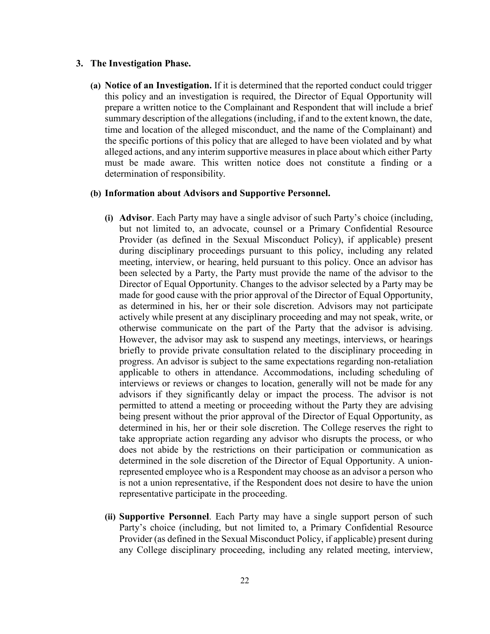#### **3. The Investigation Phase.**

**(a) Notice of an Investigation.** If it is determined that the reported conduct could trigger this policy and an investigation is required, the Director of Equal Opportunity will prepare a written notice to the Complainant and Respondent that will include a brief summary description of the allegations (including, if and to the extent known, the date, time and location of the alleged misconduct, and the name of the Complainant) and the specific portions of this policy that are alleged to have been violated and by what alleged actions, and any interim supportive measures in place about which either Party must be made aware. This written notice does not constitute a finding or a determination of responsibility.

### **(b) Information about Advisors and Supportive Personnel.**

- **(i) Advisor**. Each Party may have a single advisor of such Party's choice (including, but not limited to, an advocate, counsel or a Primary Confidential Resource Provider (as defined in the Sexual Misconduct Policy), if applicable) present during disciplinary proceedings pursuant to this policy, including any related meeting, interview, or hearing, held pursuant to this policy. Once an advisor has been selected by a Party, the Party must provide the name of the advisor to the Director of Equal Opportunity. Changes to the advisor selected by a Party may be made for good cause with the prior approval of the Director of Equal Opportunity, as determined in his, her or their sole discretion. Advisors may not participate actively while present at any disciplinary proceeding and may not speak, write, or otherwise communicate on the part of the Party that the advisor is advising. However, the advisor may ask to suspend any meetings, interviews, or hearings briefly to provide private consultation related to the disciplinary proceeding in progress. An advisor is subject to the same expectations regarding non-retaliation applicable to others in attendance. Accommodations, including scheduling of interviews or reviews or changes to location, generally will not be made for any advisors if they significantly delay or impact the process. The advisor is not permitted to attend a meeting or proceeding without the Party they are advising being present without the prior approval of the Director of Equal Opportunity, as determined in his, her or their sole discretion. The College reserves the right to take appropriate action regarding any advisor who disrupts the process, or who does not abide by the restrictions on their participation or communication as determined in the sole discretion of the Director of Equal Opportunity. A unionrepresented employee who is a Respondent may choose as an advisor a person who is not a union representative, if the Respondent does not desire to have the union representative participate in the proceeding.
- **(ii) Supportive Personnel**. Each Party may have a single support person of such Party's choice (including, but not limited to, a Primary Confidential Resource Provider (as defined in the Sexual Misconduct Policy, if applicable) present during any College disciplinary proceeding, including any related meeting, interview,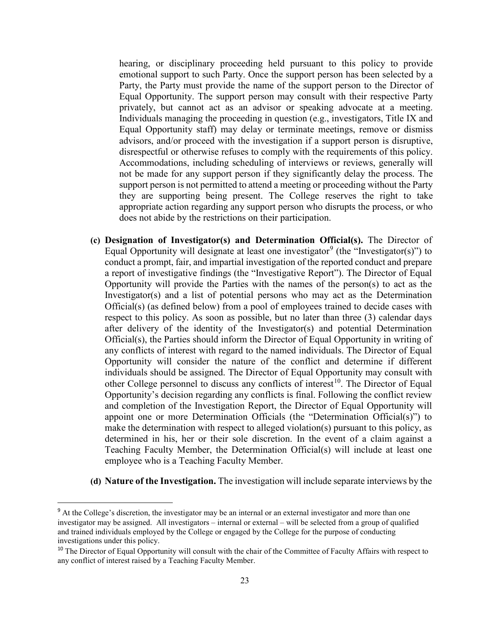hearing, or disciplinary proceeding held pursuant to this policy to provide emotional support to such Party. Once the support person has been selected by a Party, the Party must provide the name of the support person to the Director of Equal Opportunity. The support person may consult with their respective Party privately, but cannot act as an advisor or speaking advocate at a meeting. Individuals managing the proceeding in question (e.g., investigators, Title IX and Equal Opportunity staff) may delay or terminate meetings, remove or dismiss advisors, and/or proceed with the investigation if a support person is disruptive, disrespectful or otherwise refuses to comply with the requirements of this policy. Accommodations, including scheduling of interviews or reviews, generally will not be made for any support person if they significantly delay the process. The support person is not permitted to attend a meeting or proceeding without the Party they are supporting being present. The College reserves the right to take appropriate action regarding any support person who disrupts the process, or who does not abide by the restrictions on their participation.

- **(c) Designation of Investigator(s) and Determination Official(s).** The Director of Equal Opportunity will designate at least one investigator<sup>[9](#page-22-0)</sup> (the "Investigator(s)") to conduct a prompt, fair, and impartial investigation of the reported conduct and prepare a report of investigative findings (the "Investigative Report"). The Director of Equal Opportunity will provide the Parties with the names of the person(s) to act as the Investigator(s) and a list of potential persons who may act as the Determination Official(s) (as defined below) from a pool of employees trained to decide cases with respect to this policy. As soon as possible, but no later than three (3) calendar days after delivery of the identity of the Investigator(s) and potential Determination Official(s), the Parties should inform the Director of Equal Opportunity in writing of any conflicts of interest with regard to the named individuals. The Director of Equal Opportunity will consider the nature of the conflict and determine if different individuals should be assigned. The Director of Equal Opportunity may consult with other College personnel to discuss any conflicts of interest<sup>10</sup>. The Director of Equal Opportunity's decision regarding any conflicts is final. Following the conflict review and completion of the Investigation Report, the Director of Equal Opportunity will appoint one or more Determination Officials (the "Determination Official(s)") to make the determination with respect to alleged violation(s) pursuant to this policy, as determined in his, her or their sole discretion. In the event of a claim against a Teaching Faculty Member, the Determination Official(s) will include at least one employee who is a Teaching Faculty Member.
- **(d) Nature of the Investigation.** The investigation will include separate interviews by the

<span id="page-22-0"></span><sup>&</sup>lt;sup>9</sup> At the College's discretion, the investigator may be an internal or an external investigator and more than one investigator may be assigned. All investigators – internal or external – will be selected from a group of qualified and trained individuals employed by the College or engaged by the College for the purpose of conducting investigations under this policy.

<span id="page-22-1"></span><sup>&</sup>lt;sup>10</sup> The Director of Equal Opportunity will consult with the chair of the Committee of Faculty Affairs with respect to any conflict of interest raised by a Teaching Faculty Member.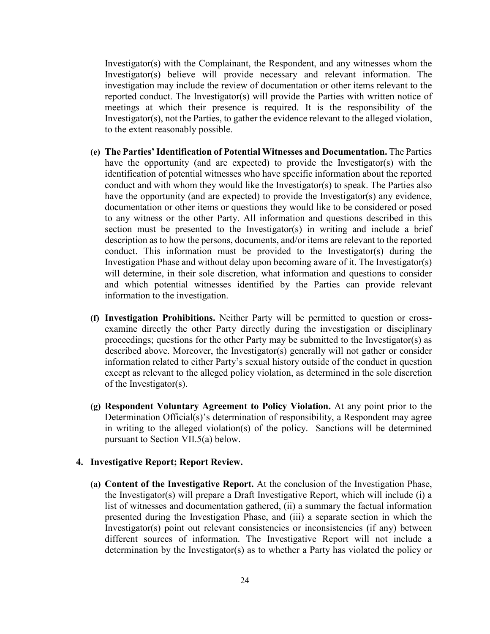Investigator(s) with the Complainant, the Respondent, and any witnesses whom the Investigator(s) believe will provide necessary and relevant information. The investigation may include the review of documentation or other items relevant to the reported conduct. The Investigator(s) will provide the Parties with written notice of meetings at which their presence is required. It is the responsibility of the Investigator(s), not the Parties, to gather the evidence relevant to the alleged violation, to the extent reasonably possible.

- **(e) The Parties' Identification of Potential Witnesses and Documentation.** The Parties have the opportunity (and are expected) to provide the Investigator(s) with the identification of potential witnesses who have specific information about the reported conduct and with whom they would like the Investigator(s) to speak. The Parties also have the opportunity (and are expected) to provide the Investigator(s) any evidence, documentation or other items or questions they would like to be considered or posed to any witness or the other Party. All information and questions described in this section must be presented to the Investigator(s) in writing and include a brief description as to how the persons, documents, and/or items are relevant to the reported conduct. This information must be provided to the Investigator(s) during the Investigation Phase and without delay upon becoming aware of it. The Investigator(s) will determine, in their sole discretion, what information and questions to consider and which potential witnesses identified by the Parties can provide relevant information to the investigation.
- **(f) Investigation Prohibitions.** Neither Party will be permitted to question or crossexamine directly the other Party directly during the investigation or disciplinary proceedings; questions for the other Party may be submitted to the Investigator(s) as described above. Moreover, the Investigator(s) generally will not gather or consider information related to either Party's sexual history outside of the conduct in question except as relevant to the alleged policy violation, as determined in the sole discretion of the Investigator(s).
- **(g) Respondent Voluntary Agreement to Policy Violation.** At any point prior to the Determination Official(s)'s determination of responsibility, a Respondent may agree in writing to the alleged violation(s) of the policy. Sanctions will be determined pursuant to Section VII.5(a) below.

## **4. Investigative Report; Report Review.**

**(a) Content of the Investigative Report.** At the conclusion of the Investigation Phase, the Investigator(s) will prepare a Draft Investigative Report, which will include (i) a list of witnesses and documentation gathered, (ii) a summary the factual information presented during the Investigation Phase, and (iii) a separate section in which the Investigator(s) point out relevant consistencies or inconsistencies (if any) between different sources of information. The Investigative Report will not include a determination by the Investigator(s) as to whether a Party has violated the policy or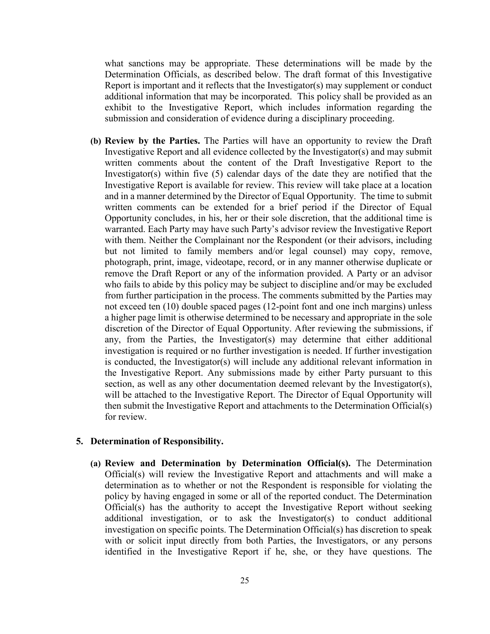what sanctions may be appropriate. These determinations will be made by the Determination Officials, as described below. The draft format of this Investigative Report is important and it reflects that the Investigator(s) may supplement or conduct additional information that may be incorporated. This policy shall be provided as an exhibit to the Investigative Report, which includes information regarding the submission and consideration of evidence during a disciplinary proceeding.

**(b) Review by the Parties.** The Parties will have an opportunity to review the Draft Investigative Report and all evidence collected by the Investigator(s) and may submit written comments about the content of the Draft Investigative Report to the Investigator(s) within five (5) calendar days of the date they are notified that the Investigative Report is available for review. This review will take place at a location and in a manner determined by the Director of Equal Opportunity. The time to submit written comments can be extended for a brief period if the Director of Equal Opportunity concludes, in his, her or their sole discretion, that the additional time is warranted. Each Party may have such Party's advisor review the Investigative Report with them. Neither the Complainant nor the Respondent (or their advisors, including but not limited to family members and/or legal counsel) may copy, remove, photograph, print, image, videotape, record, or in any manner otherwise duplicate or remove the Draft Report or any of the information provided. A Party or an advisor who fails to abide by this policy may be subject to discipline and/or may be excluded from further participation in the process. The comments submitted by the Parties may not exceed ten (10) double spaced pages (12-point font and one inch margins) unless a higher page limit is otherwise determined to be necessary and appropriate in the sole discretion of the Director of Equal Opportunity. After reviewing the submissions, if any, from the Parties, the Investigator(s) may determine that either additional investigation is required or no further investigation is needed. If further investigation is conducted, the Investigator(s) will include any additional relevant information in the Investigative Report. Any submissions made by either Party pursuant to this section, as well as any other documentation deemed relevant by the Investigator(s), will be attached to the Investigative Report. The Director of Equal Opportunity will then submit the Investigative Report and attachments to the Determination Official(s) for review.

#### **5. Determination of Responsibility.**

**(a) Review and Determination by Determination Official(s).** The Determination Official(s) will review the Investigative Report and attachments and will make a determination as to whether or not the Respondent is responsible for violating the policy by having engaged in some or all of the reported conduct. The Determination Official(s) has the authority to accept the Investigative Report without seeking additional investigation, or to ask the Investigator(s) to conduct additional investigation on specific points. The Determination Official(s) has discretion to speak with or solicit input directly from both Parties, the Investigators, or any persons identified in the Investigative Report if he, she, or they have questions. The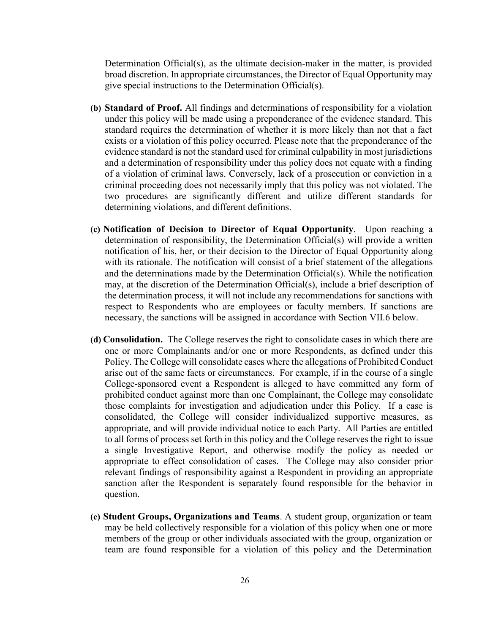Determination Official(s), as the ultimate decision-maker in the matter, is provided broad discretion. In appropriate circumstances, the Director of Equal Opportunity may give special instructions to the Determination Official(s).

- **(b) Standard of Proof.** All findings and determinations of responsibility for a violation under this policy will be made using a preponderance of the evidence standard. This standard requires the determination of whether it is more likely than not that a fact exists or a violation of this policy occurred. Please note that the preponderance of the evidence standard is not the standard used for criminal culpability in most jurisdictions and a determination of responsibility under this policy does not equate with a finding of a violation of criminal laws. Conversely, lack of a prosecution or conviction in a criminal proceeding does not necessarily imply that this policy was not violated. The two procedures are significantly different and utilize different standards for determining violations, and different definitions.
- **(c) Notification of Decision to Director of Equal Opportunity**. Upon reaching a determination of responsibility, the Determination Official(s) will provide a written notification of his, her, or their decision to the Director of Equal Opportunity along with its rationale. The notification will consist of a brief statement of the allegations and the determinations made by the Determination Official(s). While the notification may, at the discretion of the Determination Official(s), include a brief description of the determination process, it will not include any recommendations for sanctions with respect to Respondents who are employees or faculty members. If sanctions are necessary, the sanctions will be assigned in accordance with Section VII.6 below.
- **(d) Consolidation.** The College reserves the right to consolidate cases in which there are one or more Complainants and/or one or more Respondents, as defined under this Policy. The College will consolidate cases where the allegations of Prohibited Conduct arise out of the same facts or circumstances. For example, if in the course of a single College-sponsored event a Respondent is alleged to have committed any form of prohibited conduct against more than one Complainant, the College may consolidate those complaints for investigation and adjudication under this Policy. If a case is consolidated, the College will consider individualized supportive measures, as appropriate, and will provide individual notice to each Party. All Parties are entitled to all forms of process set forth in this policy and the College reserves the right to issue a single Investigative Report, and otherwise modify the policy as needed or appropriate to effect consolidation of cases. The College may also consider prior relevant findings of responsibility against a Respondent in providing an appropriate sanction after the Respondent is separately found responsible for the behavior in question.
- **(e) Student Groups, Organizations and Teams**. A student group, organization or team may be held collectively responsible for a violation of this policy when one or more members of the group or other individuals associated with the group, organization or team are found responsible for a violation of this policy and the Determination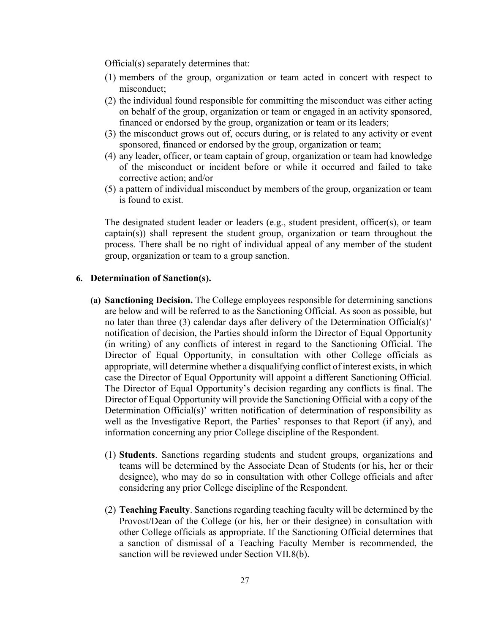Official(s) separately determines that:

- (1) members of the group, organization or team acted in concert with respect to misconduct;
- (2) the individual found responsible for committing the misconduct was either acting on behalf of the group, organization or team or engaged in an activity sponsored, financed or endorsed by the group, organization or team or its leaders;
- (3) the misconduct grows out of, occurs during, or is related to any activity or event sponsored, financed or endorsed by the group, organization or team;
- (4) any leader, officer, or team captain of group, organization or team had knowledge of the misconduct or incident before or while it occurred and failed to take corrective action; and/or
- (5) a pattern of individual misconduct by members of the group, organization or team is found to exist.

The designated student leader or leaders (e.g., student president, officer(s), or team captain(s)) shall represent the student group, organization or team throughout the process. There shall be no right of individual appeal of any member of the student group, organization or team to a group sanction.

#### **6. Determination of Sanction(s).**

- **(a) Sanctioning Decision.** The College employees responsible for determining sanctions are below and will be referred to as the Sanctioning Official. As soon as possible, but no later than three (3) calendar days after delivery of the Determination Official(s)' notification of decision, the Parties should inform the Director of Equal Opportunity (in writing) of any conflicts of interest in regard to the Sanctioning Official. The Director of Equal Opportunity, in consultation with other College officials as appropriate, will determine whether a disqualifying conflict of interest exists, in which case the Director of Equal Opportunity will appoint a different Sanctioning Official. The Director of Equal Opportunity's decision regarding any conflicts is final. The Director of Equal Opportunity will provide the Sanctioning Official with a copy of the Determination Official(s)' written notification of determination of responsibility as well as the Investigative Report, the Parties' responses to that Report (if any), and information concerning any prior College discipline of the Respondent.
	- (1) **Students**. Sanctions regarding students and student groups, organizations and teams will be determined by the Associate Dean of Students (or his, her or their designee), who may do so in consultation with other College officials and after considering any prior College discipline of the Respondent.
	- (2) **Teaching Faculty**. Sanctions regarding teaching faculty will be determined by the Provost/Dean of the College (or his, her or their designee) in consultation with other College officials as appropriate. If the Sanctioning Official determines that a sanction of dismissal of a Teaching Faculty Member is recommended, the sanction will be reviewed under Section VII.8(b).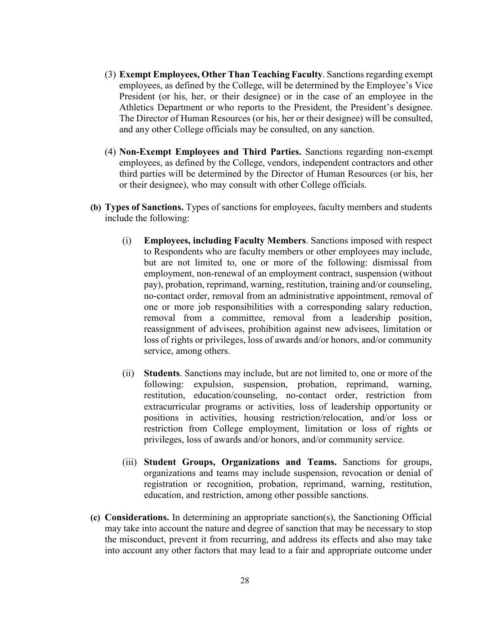- (3) **Exempt Employees, Other Than Teaching Faculty**. Sanctions regarding exempt employees, as defined by the College, will be determined by the Employee's Vice President (or his, her, or their designee) or in the case of an employee in the Athletics Department or who reports to the President, the President's designee. The Director of Human Resources (or his, her or their designee) will be consulted, and any other College officials may be consulted, on any sanction.
- (4) **Non-Exempt Employees and Third Parties.** Sanctions regarding non-exempt employees, as defined by the College, vendors, independent contractors and other third parties will be determined by the Director of Human Resources (or his, her or their designee), who may consult with other College officials.
- **(b) Types of Sanctions.** Types of sanctions for employees, faculty members and students include the following:
	- (i) **Employees, including Faculty Members**. Sanctions imposed with respect to Respondents who are faculty members or other employees may include, but are not limited to, one or more of the following: dismissal from employment, non-renewal of an employment contract, suspension (without pay), probation, reprimand, warning, restitution, training and/or counseling, no-contact order, removal from an administrative appointment, removal of one or more job responsibilities with a corresponding salary reduction, removal from a committee, removal from a leadership position, reassignment of advisees, prohibition against new advisees, limitation or loss of rights or privileges, loss of awards and/or honors, and/or community service, among others.
	- (ii) **Students**. Sanctions may include, but are not limited to, one or more of the following: expulsion, suspension, probation, reprimand, warning, restitution, education/counseling, no-contact order, restriction from extracurricular programs or activities, loss of leadership opportunity or positions in activities, housing restriction/relocation, and/or loss or restriction from College employment, limitation or loss of rights or privileges, loss of awards and/or honors, and/or community service.
	- (iii) **Student Groups, Organizations and Teams.** Sanctions for groups, organizations and teams may include suspension, revocation or denial of registration or recognition, probation, reprimand, warning, restitution, education, and restriction, among other possible sanctions.
- **(c) Considerations.** In determining an appropriate sanction(s), the Sanctioning Official may take into account the nature and degree of sanction that may be necessary to stop the misconduct, prevent it from recurring, and address its effects and also may take into account any other factors that may lead to a fair and appropriate outcome under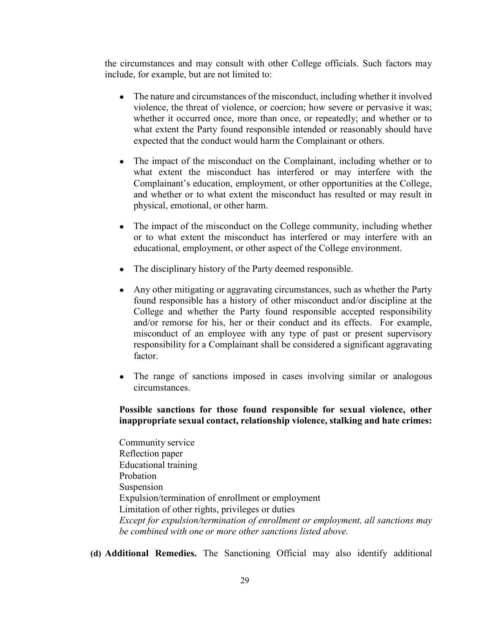the circumstances and may consult with other College officials. Such factors may include, for example, but are not limited to:

- The nature and circumstances of the misconduct, including whether it involved violence, the threat of violence, or coercion; how severe or pervasive it was; whether it occurred once, more than once, or repeatedly; and whether or to what extent the Party found responsible intended or reasonably should have expected that the conduct would harm the Complainant or others.
- The impact of the misconduct on the Complainant, including whether or to what extent the misconduct has interfered or may interfere with the Complainant's education, employment, or other opportunities at the College, and whether or to what extent the misconduct has resulted or may result in physical, emotional, or other harm.
- The impact of the misconduct on the College community, including whether or to what extent the misconduct has interfered or may interfere with an educational, employment, or other aspect of the College environment.
- The disciplinary history of the Party deemed responsible.
- Any other mitigating or aggravating circumstances, such as whether the Party found responsible has a history of other misconduct and/or discipline at the College and whether the Party found responsible accepted responsibility and/or remorse for his, her or their conduct and its effects. For example, misconduct of an employee with any type of past or present supervisory responsibility for a Complainant shall be considered a significant aggravating factor.
- The range of sanctions imposed in cases involving similar or analogous circumstances.

## **Possible sanctions for those found responsible for sexual violence, other inappropriate sexual contact, relationship violence, stalking and hate crimes:**

Community service Reflection paper Educational training Probation Suspension Expulsion/termination of enrollment or employment Limitation of other rights, privileges or duties *Except for expulsion/termination of enrollment or employment, all sanctions may be combined with one or more other sanctions listed above.*

**(d) Additional Remedies.** The Sanctioning Official may also identify additional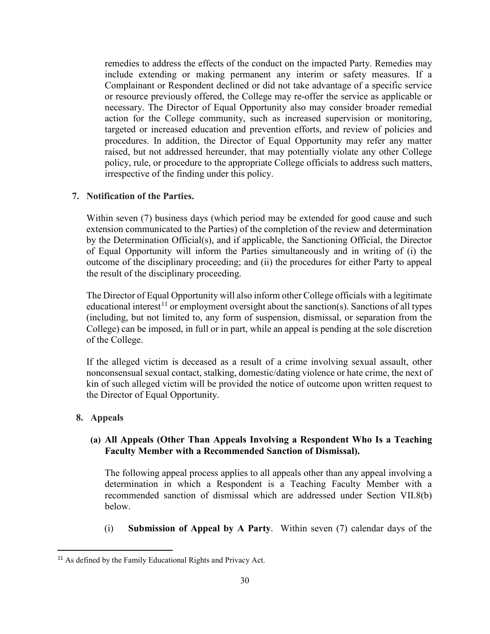remedies to address the effects of the conduct on the impacted Party. Remedies may include extending or making permanent any interim or safety measures. If a Complainant or Respondent declined or did not take advantage of a specific service or resource previously offered, the College may re-offer the service as applicable or necessary. The Director of Equal Opportunity also may consider broader remedial action for the College community, such as increased supervision or monitoring, targeted or increased education and prevention efforts, and review of policies and procedures. In addition, the Director of Equal Opportunity may refer any matter raised, but not addressed hereunder, that may potentially violate any other College policy, rule, or procedure to the appropriate College officials to address such matters, irrespective of the finding under this policy.

#### **7. Notification of the Parties.**

Within seven (7) business days (which period may be extended for good cause and such extension communicated to the Parties) of the completion of the review and determination by the Determination Official(s), and if applicable, the Sanctioning Official, the Director of Equal Opportunity will inform the Parties simultaneously and in writing of (i) the outcome of the disciplinary proceeding; and (ii) the procedures for either Party to appeal the result of the disciplinary proceeding.

The Director of Equal Opportunity will also inform other College officials with a legitimate educational interest<sup>[11](#page-29-0)</sup> or employment oversight about the sanction(s). Sanctions of all types (including, but not limited to, any form of suspension, dismissal, or separation from the College) can be imposed, in full or in part, while an appeal is pending at the sole discretion of the College.

If the alleged victim is deceased as a result of a crime involving sexual assault, other nonconsensual sexual contact, stalking, domestic/dating violence or hate crime, the next of kin of such alleged victim will be provided the notice of outcome upon written request to the Director of Equal Opportunity.

### **8. Appeals**

## **(a) All Appeals (Other Than Appeals Involving a Respondent Who Is a Teaching Faculty Member with a Recommended Sanction of Dismissal).**

The following appeal process applies to all appeals other than any appeal involving a determination in which a Respondent is a Teaching Faculty Member with a recommended sanction of dismissal which are addressed under Section VII.8(b) below.

(i) **Submission of Appeal by A Party**. Within seven (7) calendar days of the

<span id="page-29-0"></span><sup>&</sup>lt;sup>11</sup> As defined by the Family Educational Rights and Privacy Act.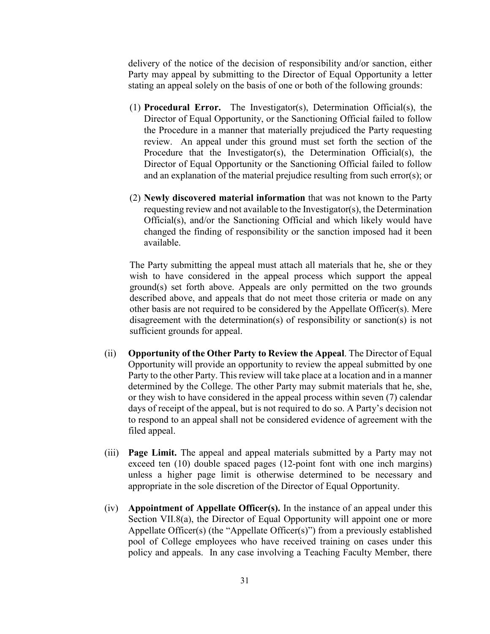delivery of the notice of the decision of responsibility and/or sanction, either Party may appeal by submitting to the Director of Equal Opportunity a letter stating an appeal solely on the basis of one or both of the following grounds:

- (1) **Procedural Error.** The Investigator(s), Determination Official(s), the Director of Equal Opportunity, or the Sanctioning Official failed to follow the Procedure in a manner that materially prejudiced the Party requesting review. An appeal under this ground must set forth the section of the Procedure that the Investigator(s), the Determination Official(s), the Director of Equal Opportunity or the Sanctioning Official failed to follow and an explanation of the material prejudice resulting from such error(s); or
- (2) **Newly discovered material information** that was not known to the Party requesting review and not available to the Investigator(s), the Determination Official(s), and/or the Sanctioning Official and which likely would have changed the finding of responsibility or the sanction imposed had it been available.

The Party submitting the appeal must attach all materials that he, she or they wish to have considered in the appeal process which support the appeal ground(s) set forth above. Appeals are only permitted on the two grounds described above, and appeals that do not meet those criteria or made on any other basis are not required to be considered by the Appellate Officer(s). Mere disagreement with the determination(s) of responsibility or sanction(s) is not sufficient grounds for appeal.

- (ii) **Opportunity of the Other Party to Review the Appeal**. The Director of Equal Opportunity will provide an opportunity to review the appeal submitted by one Party to the other Party. This review will take place at a location and in a manner determined by the College. The other Party may submit materials that he, she, or they wish to have considered in the appeal process within seven (7) calendar days of receipt of the appeal, but is not required to do so. A Party's decision not to respond to an appeal shall not be considered evidence of agreement with the filed appeal.
- (iii) **Page Limit.** The appeal and appeal materials submitted by a Party may not exceed ten (10) double spaced pages (12-point font with one inch margins) unless a higher page limit is otherwise determined to be necessary and appropriate in the sole discretion of the Director of Equal Opportunity.
- (iv) **Appointment of Appellate Officer(s).** In the instance of an appeal under this Section VII.8(a), the Director of Equal Opportunity will appoint one or more Appellate Officer(s) (the "Appellate Officer(s)") from a previously established pool of College employees who have received training on cases under this policy and appeals. In any case involving a Teaching Faculty Member, there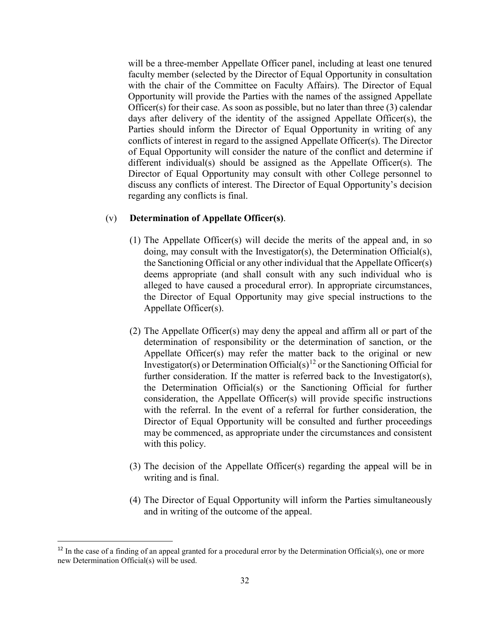will be a three-member Appellate Officer panel, including at least one tenured faculty member (selected by the Director of Equal Opportunity in consultation with the chair of the Committee on Faculty Affairs). The Director of Equal Opportunity will provide the Parties with the names of the assigned Appellate Officer(s) for their case. As soon as possible, but no later than three (3) calendar days after delivery of the identity of the assigned Appellate Officer(s), the Parties should inform the Director of Equal Opportunity in writing of any conflicts of interest in regard to the assigned Appellate Officer(s). The Director of Equal Opportunity will consider the nature of the conflict and determine if different individual(s) should be assigned as the Appellate Officer(s). The Director of Equal Opportunity may consult with other College personnel to discuss any conflicts of interest. The Director of Equal Opportunity's decision regarding any conflicts is final.

#### (v) **Determination of Appellate Officer(s)**.

- (1) The Appellate Officer(s) will decide the merits of the appeal and, in so doing, may consult with the Investigator(s), the Determination Official(s), the Sanctioning Official or any other individual that the Appellate Officer(s) deems appropriate (and shall consult with any such individual who is alleged to have caused a procedural error). In appropriate circumstances, the Director of Equal Opportunity may give special instructions to the Appellate Officer(s).
- (2) The Appellate Officer(s) may deny the appeal and affirm all or part of the determination of responsibility or the determination of sanction, or the Appellate Officer(s) may refer the matter back to the original or new Investigator(s) or Determination Official(s)<sup>[12](#page-31-0)</sup> or the Sanctioning Official for further consideration. If the matter is referred back to the Investigator(s), the Determination Official(s) or the Sanctioning Official for further consideration, the Appellate Officer(s) will provide specific instructions with the referral. In the event of a referral for further consideration, the Director of Equal Opportunity will be consulted and further proceedings may be commenced, as appropriate under the circumstances and consistent with this policy.
- (3) The decision of the Appellate Officer(s) regarding the appeal will be in writing and is final.
- (4) The Director of Equal Opportunity will inform the Parties simultaneously and in writing of the outcome of the appeal.

<span id="page-31-0"></span> $12$  In the case of a finding of an appeal granted for a procedural error by the Determination Official(s), one or more new Determination Official(s) will be used.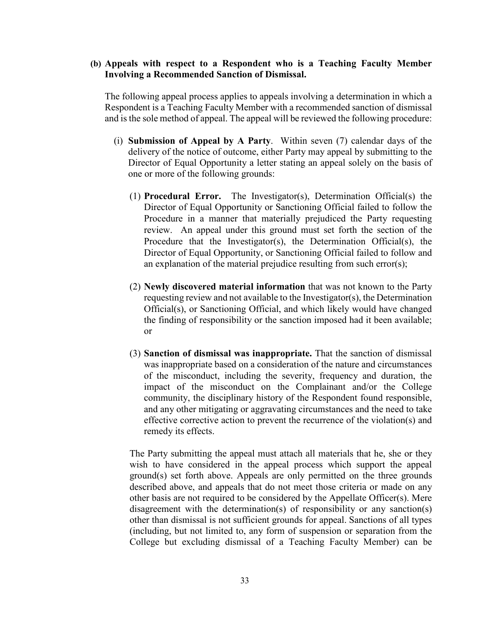## **(b) Appeals with respect to a Respondent who is a Teaching Faculty Member Involving a Recommended Sanction of Dismissal.**

The following appeal process applies to appeals involving a determination in which a Respondent is a Teaching Faculty Member with a recommended sanction of dismissal and is the sole method of appeal. The appeal will be reviewed the following procedure:

- (i) **Submission of Appeal by A Party**. Within seven (7) calendar days of the delivery of the notice of outcome, either Party may appeal by submitting to the Director of Equal Opportunity a letter stating an appeal solely on the basis of one or more of the following grounds:
	- (1) **Procedural Error.** The Investigator(s), Determination Official(s) the Director of Equal Opportunity or Sanctioning Official failed to follow the Procedure in a manner that materially prejudiced the Party requesting review. An appeal under this ground must set forth the section of the Procedure that the Investigator(s), the Determination Official(s), the Director of Equal Opportunity, or Sanctioning Official failed to follow and an explanation of the material prejudice resulting from such error(s);
	- (2) **Newly discovered material information** that was not known to the Party requesting review and not available to the Investigator(s), the Determination Official(s), or Sanctioning Official, and which likely would have changed the finding of responsibility or the sanction imposed had it been available; or
	- (3) **Sanction of dismissal was inappropriate.** That the sanction of dismissal was inappropriate based on a consideration of the nature and circumstances of the misconduct, including the severity, frequency and duration, the impact of the misconduct on the Complainant and/or the College community, the disciplinary history of the Respondent found responsible, and any other mitigating or aggravating circumstances and the need to take effective corrective action to prevent the recurrence of the violation(s) and remedy its effects.

The Party submitting the appeal must attach all materials that he, she or they wish to have considered in the appeal process which support the appeal ground(s) set forth above. Appeals are only permitted on the three grounds described above, and appeals that do not meet those criteria or made on any other basis are not required to be considered by the Appellate Officer(s). Mere disagreement with the determination(s) of responsibility or any sanction(s) other than dismissal is not sufficient grounds for appeal. Sanctions of all types (including, but not limited to, any form of suspension or separation from the College but excluding dismissal of a Teaching Faculty Member) can be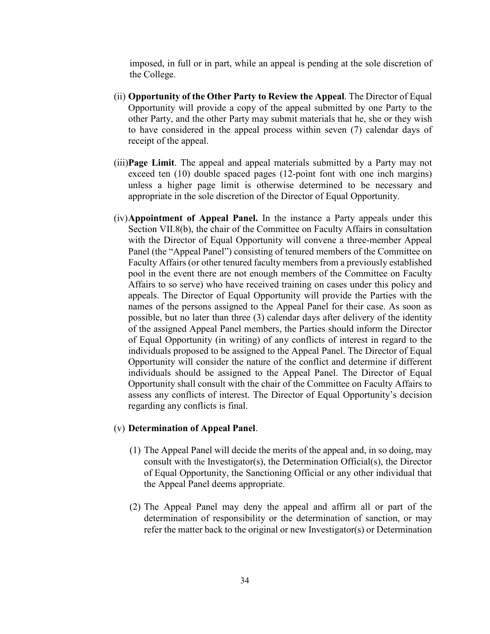imposed, in full or in part, while an appeal is pending at the sole discretion of the College.

- (ii) **Opportunity of the Other Party to Review the Appeal**. The Director of Equal Opportunity will provide a copy of the appeal submitted by one Party to the other Party, and the other Party may submit materials that he, she or they wish to have considered in the appeal process within seven (7) calendar days of receipt of the appeal.
- (iii)**Page Limit**. The appeal and appeal materials submitted by a Party may not exceed ten (10) double spaced pages (12-point font with one inch margins) unless a higher page limit is otherwise determined to be necessary and appropriate in the sole discretion of the Director of Equal Opportunity.
- (iv)**Appointment of Appeal Panel.** In the instance a Party appeals under this Section VII.8(b), the chair of the Committee on Faculty Affairs in consultation with the Director of Equal Opportunity will convene a three-member Appeal Panel (the "Appeal Panel") consisting of tenured members of the Committee on Faculty Affairs (or other tenured faculty members from a previously established pool in the event there are not enough members of the Committee on Faculty Affairs to so serve) who have received training on cases under this policy and appeals. The Director of Equal Opportunity will provide the Parties with the names of the persons assigned to the Appeal Panel for their case. As soon as possible, but no later than three (3) calendar days after delivery of the identity of the assigned Appeal Panel members, the Parties should inform the Director of Equal Opportunity (in writing) of any conflicts of interest in regard to the individuals proposed to be assigned to the Appeal Panel. The Director of Equal Opportunity will consider the nature of the conflict and determine if different individuals should be assigned to the Appeal Panel. The Director of Equal Opportunity shall consult with the chair of the Committee on Faculty Affairs to assess any conflicts of interest. The Director of Equal Opportunity's decision regarding any conflicts is final.

#### (v) **Determination of Appeal Panel**.

- (1) The Appeal Panel will decide the merits of the appeal and, in so doing, may consult with the Investigator(s), the Determination Official(s), the Director of Equal Opportunity, the Sanctioning Official or any other individual that the Appeal Panel deems appropriate.
- (2) The Appeal Panel may deny the appeal and affirm all or part of the determination of responsibility or the determination of sanction, or may refer the matter back to the original or new Investigator(s) or Determination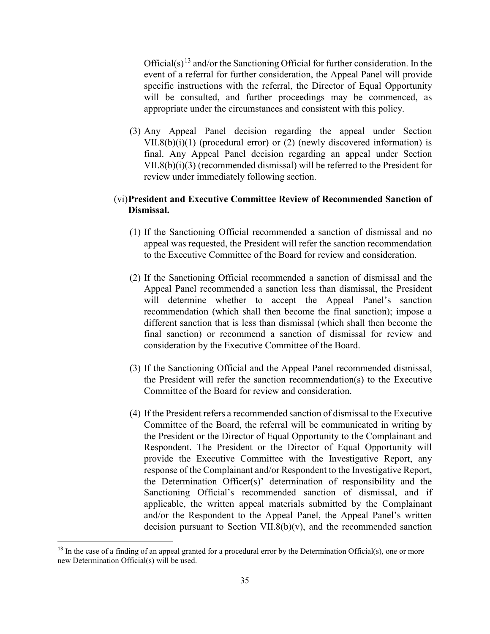Official(s)<sup>[13](#page-34-0)</sup> and/or the Sanctioning Official for further consideration. In the event of a referral for further consideration, the Appeal Panel will provide specific instructions with the referral, the Director of Equal Opportunity will be consulted, and further proceedings may be commenced, as appropriate under the circumstances and consistent with this policy.

(3) Any Appeal Panel decision regarding the appeal under Section VII.8(b)(i)(1) (procedural error) or (2) (newly discovered information) is final. Any Appeal Panel decision regarding an appeal under Section VII.8(b)(i)(3) (recommended dismissal) will be referred to the President for review under immediately following section.

## (vi)**President and Executive Committee Review of Recommended Sanction of Dismissal.**

- (1) If the Sanctioning Official recommended a sanction of dismissal and no appeal was requested, the President will refer the sanction recommendation to the Executive Committee of the Board for review and consideration.
- (2) If the Sanctioning Official recommended a sanction of dismissal and the Appeal Panel recommended a sanction less than dismissal, the President will determine whether to accept the Appeal Panel's sanction recommendation (which shall then become the final sanction); impose a different sanction that is less than dismissal (which shall then become the final sanction) or recommend a sanction of dismissal for review and consideration by the Executive Committee of the Board.
- (3) If the Sanctioning Official and the Appeal Panel recommended dismissal, the President will refer the sanction recommendation(s) to the Executive Committee of the Board for review and consideration.
- (4) If the President refers a recommended sanction of dismissal to the Executive Committee of the Board, the referral will be communicated in writing by the President or the Director of Equal Opportunity to the Complainant and Respondent. The President or the Director of Equal Opportunity will provide the Executive Committee with the Investigative Report, any response of the Complainant and/or Respondent to the Investigative Report, the Determination Officer(s)' determination of responsibility and the Sanctioning Official's recommended sanction of dismissal, and if applicable, the written appeal materials submitted by the Complainant and/or the Respondent to the Appeal Panel, the Appeal Panel's written decision pursuant to Section VII.8(b) $(v)$ , and the recommended sanction

<span id="page-34-0"></span> $13$  In the case of a finding of an appeal granted for a procedural error by the Determination Official(s), one or more new Determination Official(s) will be used.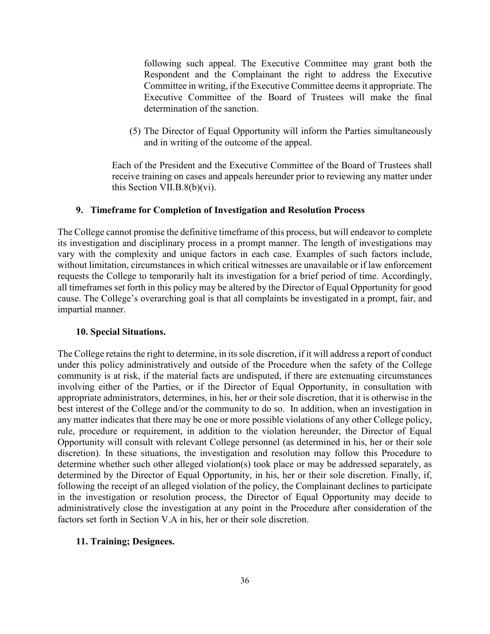following such appeal. The Executive Committee may grant both the Respondent and the Complainant the right to address the Executive Committee in writing, if the Executive Committee deems it appropriate. The Executive Committee of the Board of Trustees will make the final determination of the sanction.

(5) The Director of Equal Opportunity will inform the Parties simultaneously and in writing of the outcome of the appeal.

Each of the President and the Executive Committee of the Board of Trustees shall receive training on cases and appeals hereunder prior to reviewing any matter under this Section VII.B.8(b)(vi).

### **9. Timeframe for Completion of Investigation and Resolution Process**

The College cannot promise the definitive timeframe of this process, but will endeavor to complete its investigation and disciplinary process in a prompt manner. The length of investigations may vary with the complexity and unique factors in each case. Examples of such factors include, without limitation, circumstances in which critical witnesses are unavailable or if law enforcement requests the College to temporarily halt its investigation for a brief period of time. Accordingly, all timeframes set forth in this policy may be altered by the Director of Equal Opportunity for good cause. The College's overarching goal is that all complaints be investigated in a prompt, fair, and impartial manner.

## **10. Special Situations.**

The College retains the right to determine, in its sole discretion, if it will address a report of conduct under this policy administratively and outside of the Procedure when the safety of the College community is at risk, if the material facts are undisputed, if there are extenuating circumstances involving either of the Parties, or if the Director of Equal Opportunity, in consultation with appropriate administrators, determines, in his, her or their sole discretion, that it is otherwise in the best interest of the College and/or the community to do so. In addition, when an investigation in any matter indicates that there may be one or more possible violations of any other College policy, rule, procedure or requirement, in addition to the violation hereunder, the Director of Equal Opportunity will consult with relevant College personnel (as determined in his, her or their sole discretion). In these situations, the investigation and resolution may follow this Procedure to determine whether such other alleged violation(s) took place or may be addressed separately, as determined by the Director of Equal Opportunity, in his, her or their sole discretion. Finally, if, following the receipt of an alleged violation of the policy, the Complainant declines to participate in the investigation or resolution process, the Director of Equal Opportunity may decide to administratively close the investigation at any point in the Procedure after consideration of the factors set forth in Section V.A in his, her or their sole discretion.

## **11. Training; Designees.**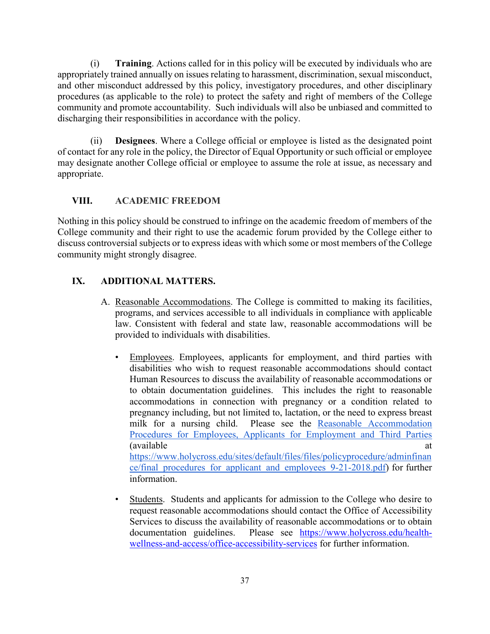(i) **Training**. Actions called for in this policy will be executed by individuals who are appropriately trained annually on issues relating to harassment, discrimination, sexual misconduct, and other misconduct addressed by this policy, investigatory procedures, and other disciplinary procedures (as applicable to the role) to protect the safety and right of members of the College community and promote accountability. Such individuals will also be unbiased and committed to discharging their responsibilities in accordance with the policy.

(ii) **Designees**. Where a College official or employee is listed as the designated point of contact for any role in the policy, the Director of Equal Opportunity or such official or employee may designate another College official or employee to assume the role at issue, as necessary and appropriate.

# **VIII. ACADEMIC FREEDOM**

Nothing in this policy should be construed to infringe on the academic freedom of members of the College community and their right to use the academic forum provided by the College either to discuss controversial subjects or to express ideas with which some or most members of the College community might strongly disagree.

# **IX. ADDITIONAL MATTERS.**

- A. Reasonable Accommodations. The College is committed to making its facilities, programs, and services accessible to all individuals in compliance with applicable law. Consistent with federal and state law, reasonable accommodations will be provided to individuals with disabilities.
	- Employees. Employees, applicants for employment, and third parties with disabilities who wish to request reasonable accommodations should contact Human Resources to discuss the availability of reasonable accommodations or to obtain documentation guidelines. This includes the right to reasonable accommodations in connection with pregnancy or a condition related to pregnancy including, but not limited to, lactation, or the need to express breast milk for a nursing child. Please see the [Reasonable Accommodation](https://www.holycross.edu/sites/default/files/files/policyprocedure/adminfinance/final_procedures_for_applicant_and_employees_9-21-2018.pdf)  [Procedures for Employees, Applicants for Employment and Third Parties](https://www.holycross.edu/sites/default/files/files/policyprocedure/adminfinance/final_procedures_for_applicant_and_employees_9-21-2018.pdf)  (available at a [https://www.holycross.edu/sites/default/files/files/policyprocedure/adminfinan](https://www.holycross.edu/sites/default/files/files/policyprocedure/adminfinance/final_procedures_for_applicant_and_employees_9-21-2018.pdf) [ce/final\\_procedures\\_for\\_applicant\\_and\\_employees\\_9-21-2018.pdf\)](https://www.holycross.edu/sites/default/files/files/policyprocedure/adminfinance/final_procedures_for_applicant_and_employees_9-21-2018.pdf) for further information.
	- Students. Students and applicants for admission to the College who desire to request reasonable accommodations should contact the Office of Accessibility Services to discuss the availability of reasonable accommodations or to obtain documentation guidelines. Please see [https://www.holycross.edu/health](https://www.holycross.edu/health-wellness-and-access/office-accessibility-services)[wellness-and-access/office-accessibility-services](https://www.holycross.edu/health-wellness-and-access/office-accessibility-services) for further information.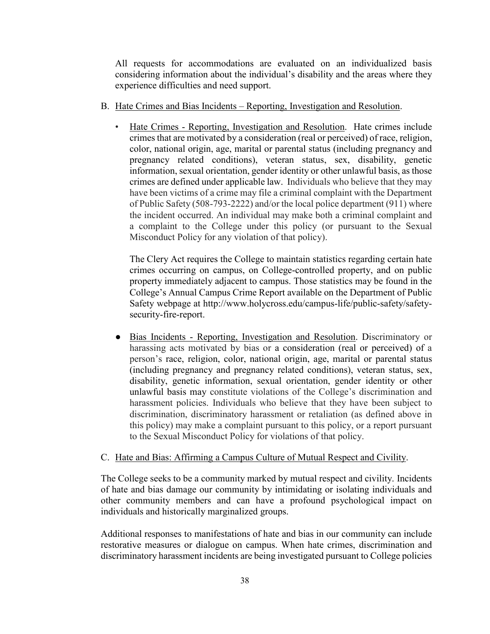All requests for accommodations are evaluated on an individualized basis considering information about the individual's disability and the areas where they experience difficulties and need support.

- B. Hate Crimes and Bias Incidents Reporting, Investigation and Resolution.
	- Hate Crimes Reporting, Investigation and Resolution. Hate crimes include crimes that are motivated by a consideration (real or perceived) of race, religion, color, national origin, age, marital or parental status (including pregnancy and pregnancy related conditions), veteran status, sex, disability, genetic information, sexual orientation, gender identity or other unlawful basis, as those crimes are defined under applicable law. Individuals who believe that they may have been victims of a crime may file a criminal complaint with the Department of Public Safety (508-793-2222) and/or the local police department (911) where the incident occurred. An individual may make both a criminal complaint and a complaint to the College under this policy (or pursuant to the Sexual Misconduct Policy for any violation of that policy).

The Clery Act requires the College to maintain statistics regarding certain hate crimes occurring on campus, on College-controlled property, and on public property immediately adjacent to campus. Those statistics may be found in the College's Annual Campus Crime Report available on the Department of Public Safety webpage at http://www.holycross.edu/campus-life/public-safety/safetysecurity-fire-report.

● Bias Incidents - Reporting, Investigation and Resolution. Discriminatory or harassing acts motivated by bias or a consideration (real or perceived) of a person's race, religion, color, national origin, age, marital or parental status (including pregnancy and pregnancy related conditions), veteran status, sex, disability, genetic information, sexual orientation, gender identity or other unlawful basis may constitute violations of the College's discrimination and harassment policies. Individuals who believe that they have been subject to discrimination, discriminatory harassment or retaliation (as defined above in this policy) may make a complaint pursuant to this policy, or a report pursuant to the Sexual Misconduct Policy for violations of that policy.

#### C. Hate and Bias: Affirming a Campus Culture of Mutual Respect and Civility.

The College seeks to be a community marked by mutual respect and civility. Incidents of hate and bias damage our community by intimidating or isolating individuals and other community members and can have a profound psychological impact on individuals and historically marginalized groups.

Additional responses to manifestations of hate and bias in our community can include restorative measures or dialogue on campus. When hate crimes, discrimination and discriminatory harassment incidents are being investigated pursuant to College policies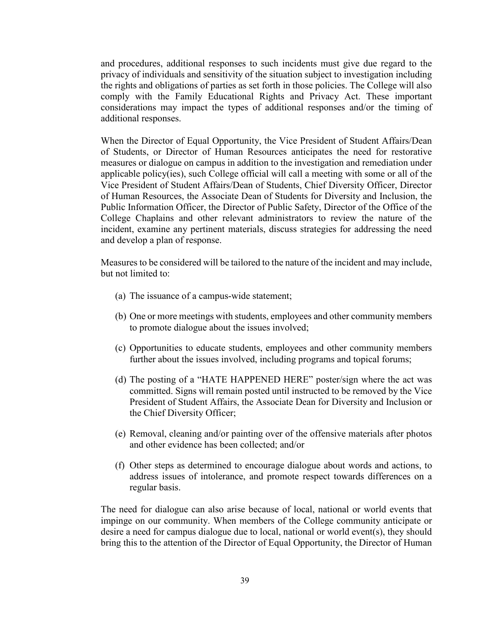and procedures, additional responses to such incidents must give due regard to the privacy of individuals and sensitivity of the situation subject to investigation including the rights and obligations of parties as set forth in those policies. The College will also comply with the Family Educational Rights and Privacy Act. These important considerations may impact the types of additional responses and/or the timing of additional responses.

When the Director of Equal Opportunity, the Vice President of Student Affairs/Dean of Students, or Director of Human Resources anticipates the need for restorative measures or dialogue on campus in addition to the investigation and remediation under applicable policy(ies), such College official will call a meeting with some or all of the Vice President of Student Affairs/Dean of Students, Chief Diversity Officer, Director of Human Resources, the Associate Dean of Students for Diversity and Inclusion, the Public Information Officer, the Director of Public Safety, Director of the Office of the College Chaplains and other relevant administrators to review the nature of the incident, examine any pertinent materials, discuss strategies for addressing the need and develop a plan of response.

Measures to be considered will be tailored to the nature of the incident and may include, but not limited to:

- (a) The issuance of a campus-wide statement;
- (b) One or more meetings with students, employees and other community members to promote dialogue about the issues involved;
- (c) Opportunities to educate students, employees and other community members further about the issues involved, including programs and topical forums;
- (d) The posting of a "HATE HAPPENED HERE" poster/sign where the act was committed. Signs will remain posted until instructed to be removed by the Vice President of Student Affairs, the Associate Dean for Diversity and Inclusion or the Chief Diversity Officer;
- (e) Removal, cleaning and/or painting over of the offensive materials after photos and other evidence has been collected; and/or
- (f) Other steps as determined to encourage dialogue about words and actions, to address issues of intolerance, and promote respect towards differences on a regular basis.

The need for dialogue can also arise because of local, national or world events that impinge on our community. When members of the College community anticipate or desire a need for campus dialogue due to local, national or world event(s), they should bring this to the attention of the Director of Equal Opportunity, the Director of Human